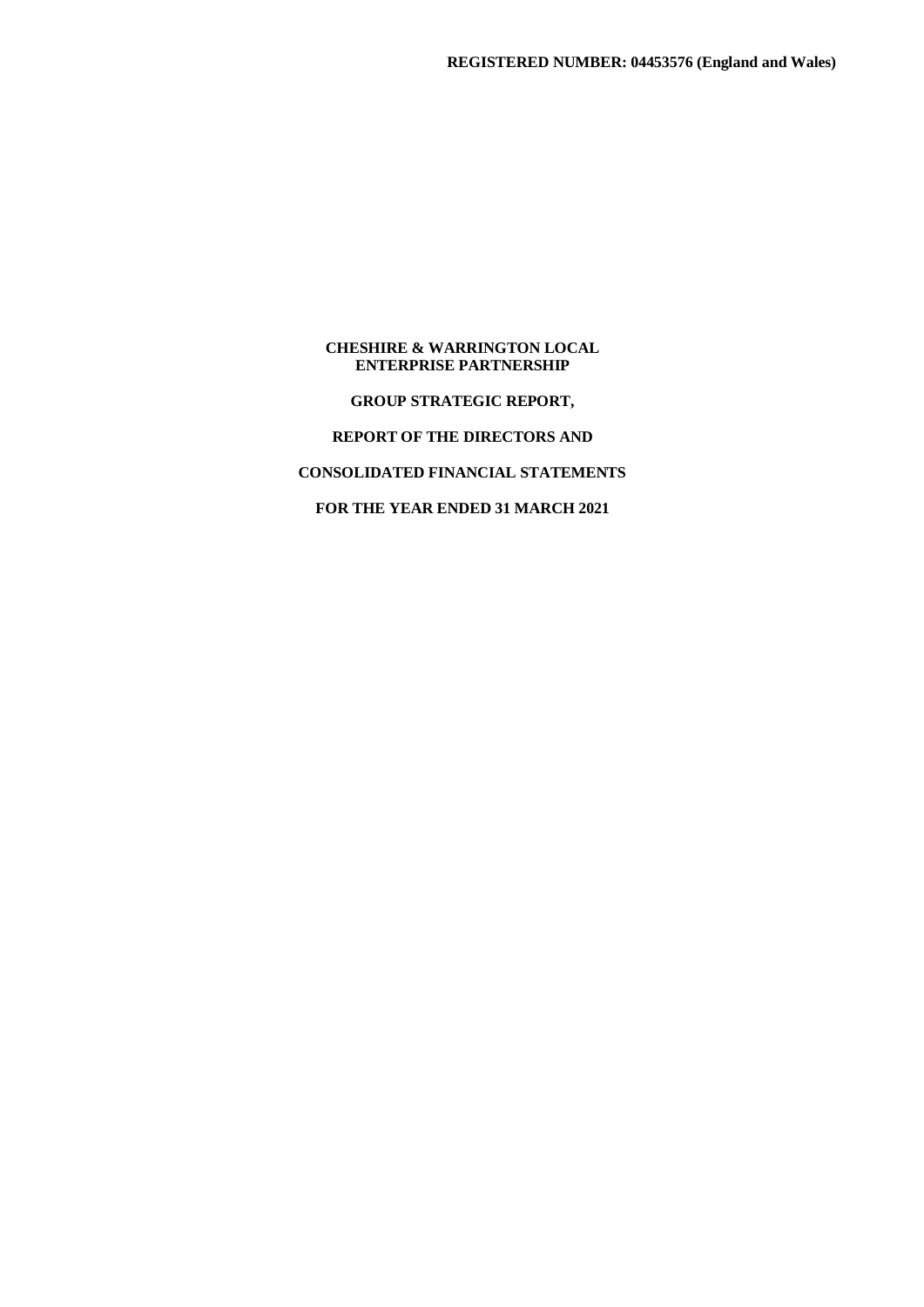**GROUP STRATEGIC REPORT,**

# **REPORT OF THE DIRECTORS AND**

# **CONSOLIDATED FINANCIAL STATEMENTS**

**FOR THE YEAR ENDED 31 MARCH 2021**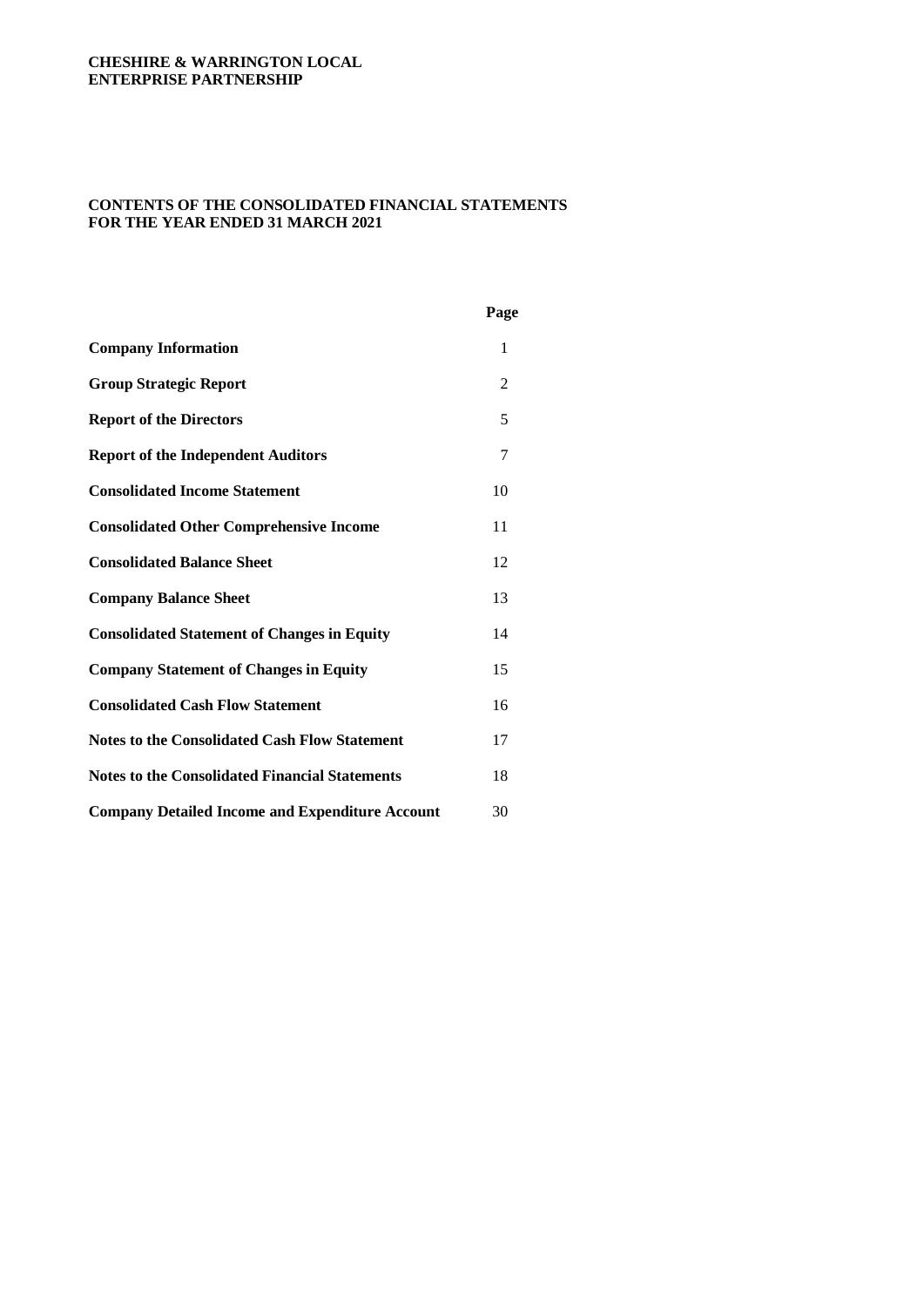## **CONTENTS OF THE CONSOLIDATED FINANCIAL STATEMENTS FOR THE YEAR ENDED 31 MARCH 2021**

|                                                        | Page |
|--------------------------------------------------------|------|
| <b>Company Information</b>                             | 1    |
| <b>Group Strategic Report</b>                          | 2    |
| <b>Report of the Directors</b>                         | 5    |
| <b>Report of the Independent Auditors</b>              | 7    |
| <b>Consolidated Income Statement</b>                   | 10   |
| <b>Consolidated Other Comprehensive Income</b>         | 11   |
| <b>Consolidated Balance Sheet</b>                      | 12   |
| <b>Company Balance Sheet</b>                           | 13   |
| <b>Consolidated Statement of Changes in Equity</b>     | 14   |
| <b>Company Statement of Changes in Equity</b>          | 15   |
| <b>Consolidated Cash Flow Statement</b>                | 16   |
| <b>Notes to the Consolidated Cash Flow Statement</b>   | 17   |
| <b>Notes to the Consolidated Financial Statements</b>  | 18   |
| <b>Company Detailed Income and Expenditure Account</b> | 30   |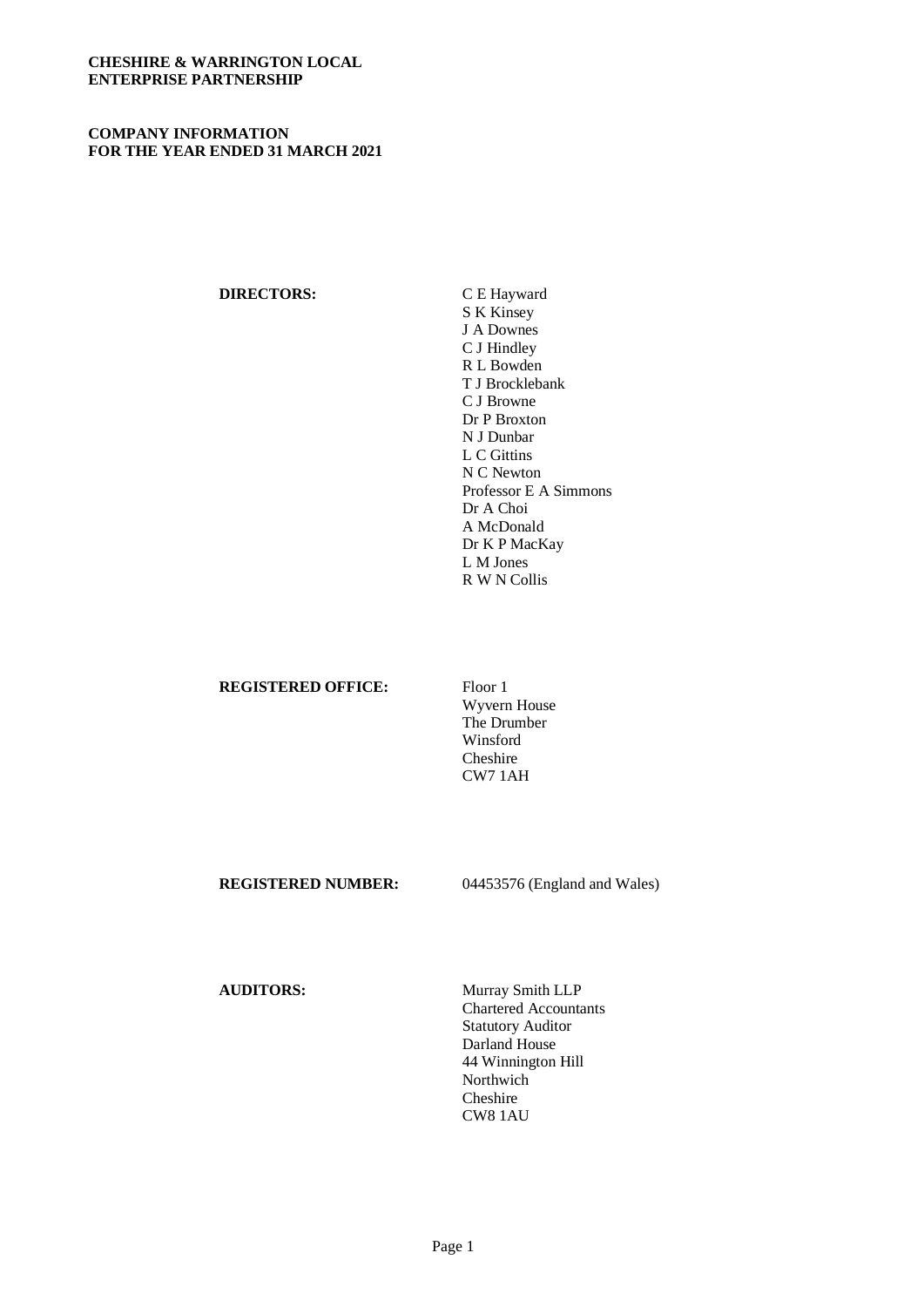## **COMPANY INFORMATION FOR THE YEAR ENDED 31 MARCH 2021**

## **DIRECTORS:** C E Hayward

S K Kinsey J A Downes C J Hindley R L Bowden T J Brocklebank C J Browne Dr P Broxton N J Dunbar L C Gittins N C Newton Professor E A Simmons Dr A Choi A McDonald Dr K P MacKay L M Jones R W N Collis

#### **REGISTERED OFFICE:** Floor 1

Wyvern House The Drumber Winsford Cheshire CW7 1AH

**REGISTERED NUMBER:** 04453576 (England and Wales)

**AUDITORS:** Murray Smith LLP Chartered Accountants Statutory Auditor Darland House 44 Winnington Hill Northwich Cheshire CW8 1AU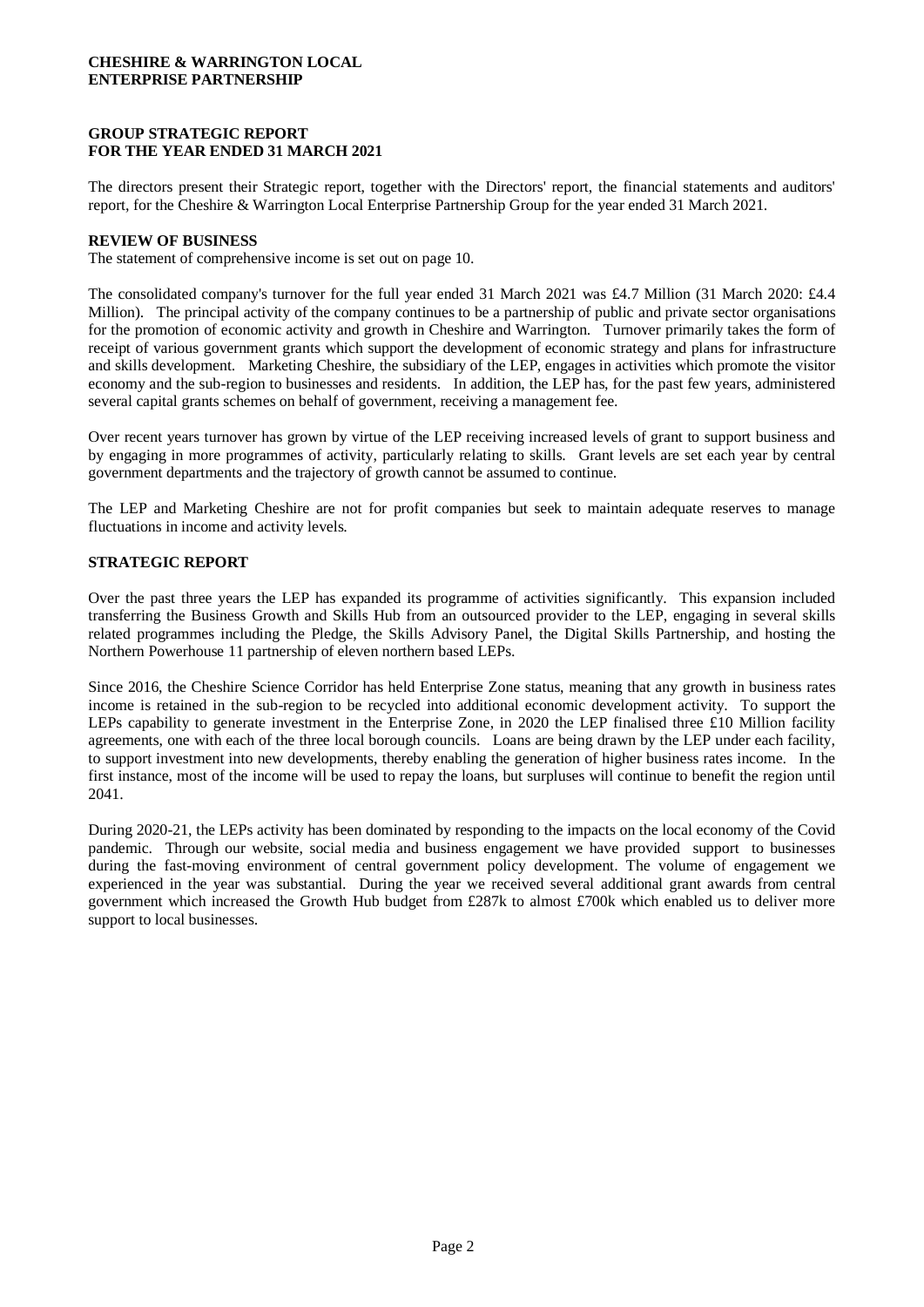## **GROUP STRATEGIC REPORT FOR THE YEAR ENDED 31 MARCH 2021**

The directors present their Strategic report, together with the Directors' report, the financial statements and auditors' report, for the Cheshire & Warrington Local Enterprise Partnership Group for the year ended 31 March 2021.

#### **REVIEW OF BUSINESS**

The statement of comprehensive income is set out on page 10.

The consolidated company's turnover for the full year ended 31 March 2021 was £4.7 Million (31 March 2020: £4.4 Million). The principal activity of the company continues to be a partnership of public and private sector organisations for the promotion of economic activity and growth in Cheshire and Warrington. Turnover primarily takes the form of receipt of various government grants which support the development of economic strategy and plans for infrastructure and skills development. Marketing Cheshire, the subsidiary of the LEP, engages in activities which promote the visitor economy and the sub-region to businesses and residents. In addition, the LEP has, for the past few years, administered several capital grants schemes on behalf of government, receiving a management fee.

Over recent years turnover has grown by virtue of the LEP receiving increased levels of grant to support business and by engaging in more programmes of activity, particularly relating to skills. Grant levels are set each year by central government departments and the trajectory of growth cannot be assumed to continue.

The LEP and Marketing Cheshire are not for profit companies but seek to maintain adequate reserves to manage fluctuations in income and activity levels.

#### **STRATEGIC REPORT**

Over the past three years the LEP has expanded its programme of activities significantly. This expansion included transferring the Business Growth and Skills Hub from an outsourced provider to the LEP, engaging in several skills related programmes including the Pledge, the Skills Advisory Panel, the Digital Skills Partnership, and hosting the Northern Powerhouse 11 partnership of eleven northern based LEPs.

Since 2016, the Cheshire Science Corridor has held Enterprise Zone status, meaning that any growth in business rates income is retained in the sub-region to be recycled into additional economic development activity. To support the LEPs capability to generate investment in the Enterprise Zone, in 2020 the LEP finalised three £10 Million facility agreements, one with each of the three local borough councils. Loans are being drawn by the LEP under each facility, to support investment into new developments, thereby enabling the generation of higher business rates income. In the first instance, most of the income will be used to repay the loans, but surpluses will continue to benefit the region until 2041.

During 2020-21, the LEPs activity has been dominated by responding to the impacts on the local economy of the Covid pandemic. Through our website, social media and business engagement we have provided support to businesses during the fast-moving environment of central government policy development. The volume of engagement we experienced in the year was substantial. During the year we received several additional grant awards from central government which increased the Growth Hub budget from £287k to almost £700k which enabled us to deliver more support to local businesses.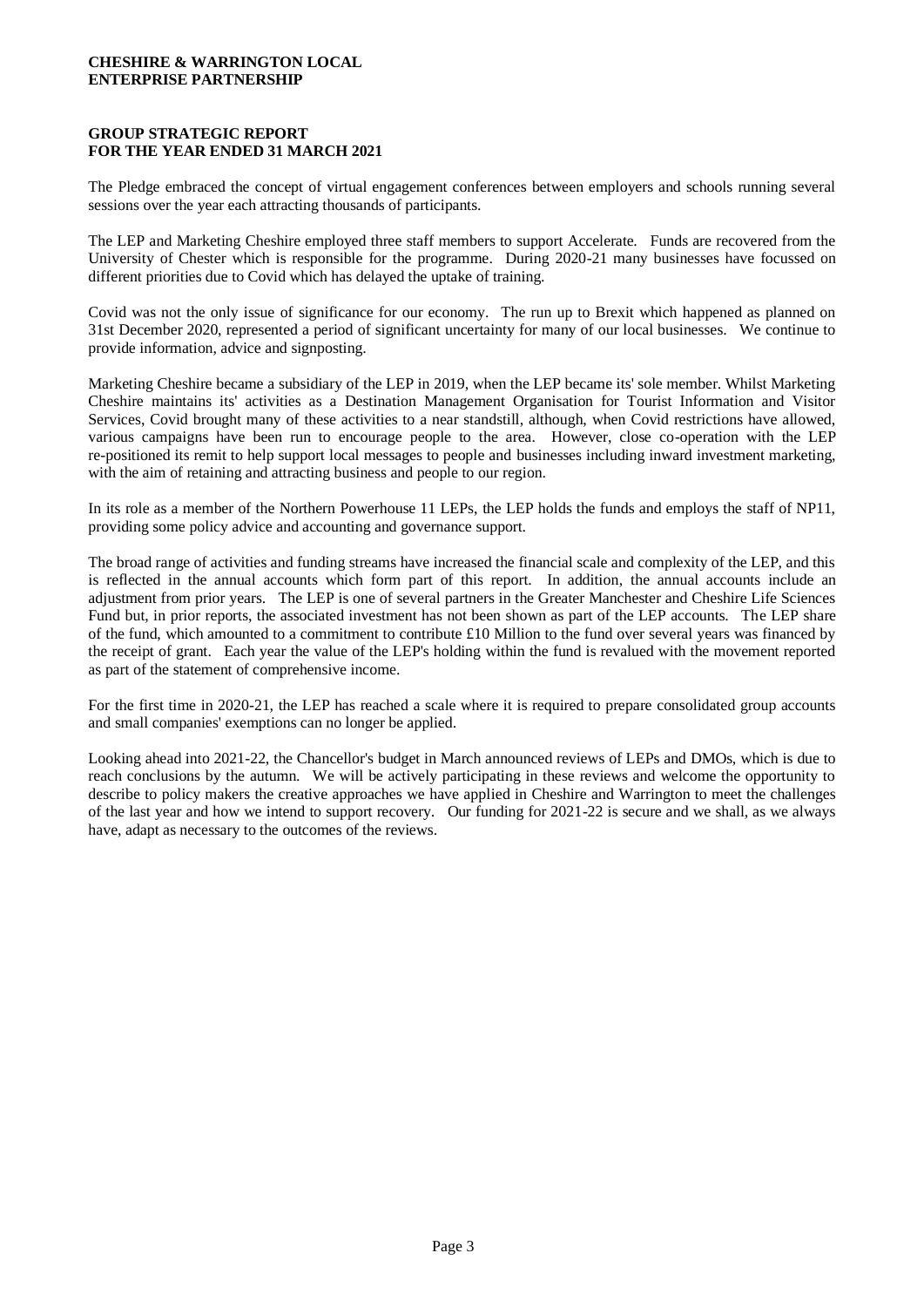## **GROUP STRATEGIC REPORT FOR THE YEAR ENDED 31 MARCH 2021**

The Pledge embraced the concept of virtual engagement conferences between employers and schools running several sessions over the year each attracting thousands of participants.

The LEP and Marketing Cheshire employed three staff members to support Accelerate. Funds are recovered from the University of Chester which is responsible for the programme. During 2020-21 many businesses have focussed on different priorities due to Covid which has delayed the uptake of training.

Covid was not the only issue of significance for our economy. The run up to Brexit which happened as planned on 31st December 2020, represented a period of significant uncertainty for many of our local businesses. We continue to provide information, advice and signposting.

Marketing Cheshire became a subsidiary of the LEP in 2019, when the LEP became its' sole member. Whilst Marketing Cheshire maintains its' activities as a Destination Management Organisation for Tourist Information and Visitor Services, Covid brought many of these activities to a near standstill, although, when Covid restrictions have allowed, various campaigns have been run to encourage people to the area. However, close co-operation with the LEP re-positioned its remit to help support local messages to people and businesses including inward investment marketing, with the aim of retaining and attracting business and people to our region.

In its role as a member of the Northern Powerhouse 11 LEPs, the LEP holds the funds and employs the staff of NP11, providing some policy advice and accounting and governance support.

The broad range of activities and funding streams have increased the financial scale and complexity of the LEP, and this is reflected in the annual accounts which form part of this report. In addition, the annual accounts include an adjustment from prior years. The LEP is one of several partners in the Greater Manchester and Cheshire Life Sciences Fund but, in prior reports, the associated investment has not been shown as part of the LEP accounts. The LEP share of the fund, which amounted to a commitment to contribute £10 Million to the fund over several years was financed by the receipt of grant. Each year the value of the LEP's holding within the fund is revalued with the movement reported as part of the statement of comprehensive income.

For the first time in 2020-21, the LEP has reached a scale where it is required to prepare consolidated group accounts and small companies' exemptions can no longer be applied.

Looking ahead into 2021-22, the Chancellor's budget in March announced reviews of LEPs and DMOs, which is due to reach conclusions by the autumn. We will be actively participating in these reviews and welcome the opportunity to describe to policy makers the creative approaches we have applied in Cheshire and Warrington to meet the challenges of the last year and how we intend to support recovery. Our funding for 2021-22 is secure and we shall, as we always have, adapt as necessary to the outcomes of the reviews.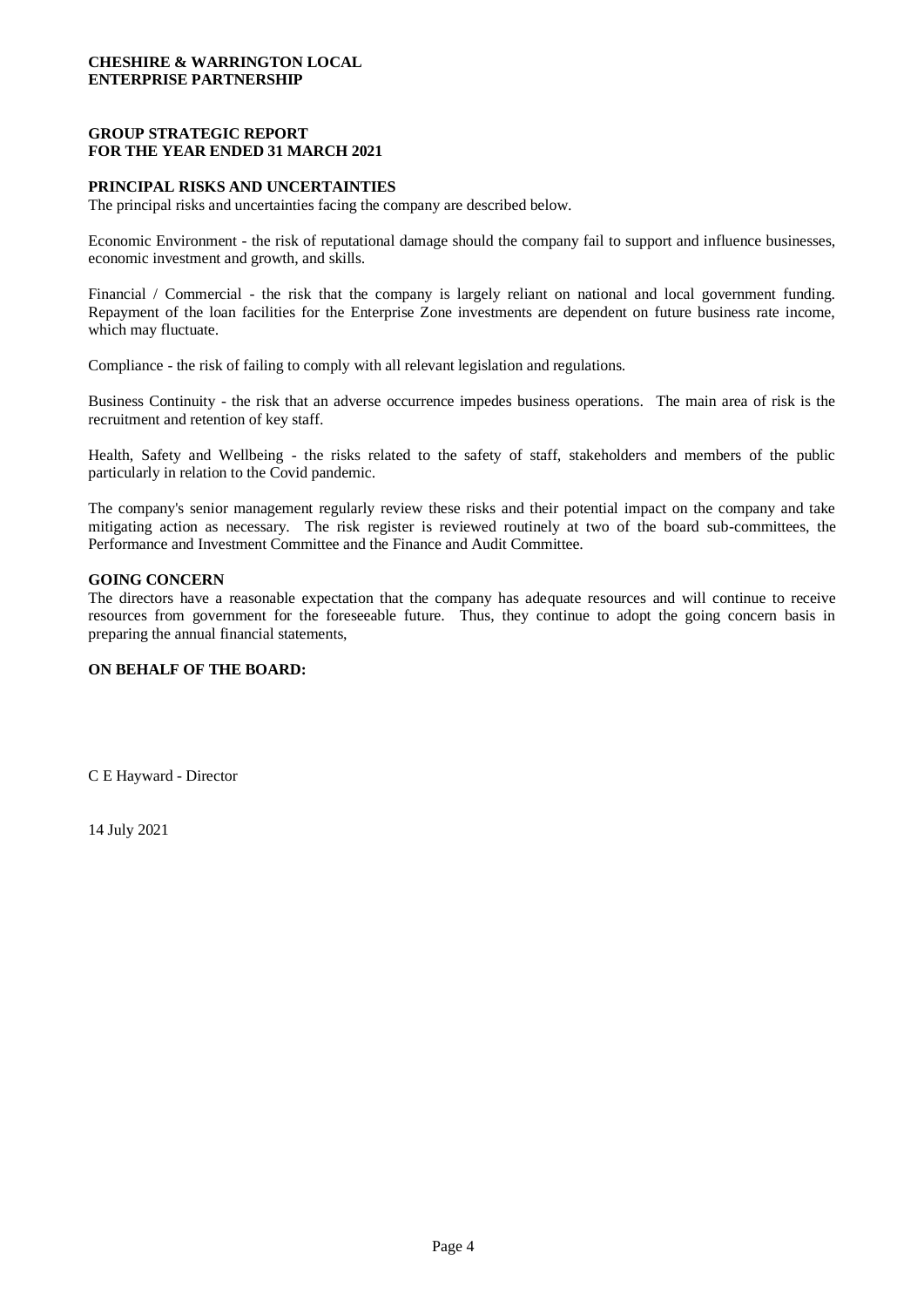## **GROUP STRATEGIC REPORT FOR THE YEAR ENDED 31 MARCH 2021**

#### **PRINCIPAL RISKS AND UNCERTAINTIES**

The principal risks and uncertainties facing the company are described below.

Economic Environment - the risk of reputational damage should the company fail to support and influence businesses, economic investment and growth, and skills.

Financial / Commercial - the risk that the company is largely reliant on national and local government funding. Repayment of the loan facilities for the Enterprise Zone investments are dependent on future business rate income, which may fluctuate.

Compliance - the risk of failing to comply with all relevant legislation and regulations.

Business Continuity - the risk that an adverse occurrence impedes business operations. The main area of risk is the recruitment and retention of key staff.

Health, Safety and Wellbeing - the risks related to the safety of staff, stakeholders and members of the public particularly in relation to the Covid pandemic.

The company's senior management regularly review these risks and their potential impact on the company and take mitigating action as necessary. The risk register is reviewed routinely at two of the board sub-committees, the Performance and Investment Committee and the Finance and Audit Committee.

#### **GOING CONCERN**

The directors have a reasonable expectation that the company has adequate resources and will continue to receive resources from government for the foreseeable future. Thus, they continue to adopt the going concern basis in preparing the annual financial statements,

#### **ON BEHALF OF THE BOARD:**

C E Hayward - Director

14 July 2021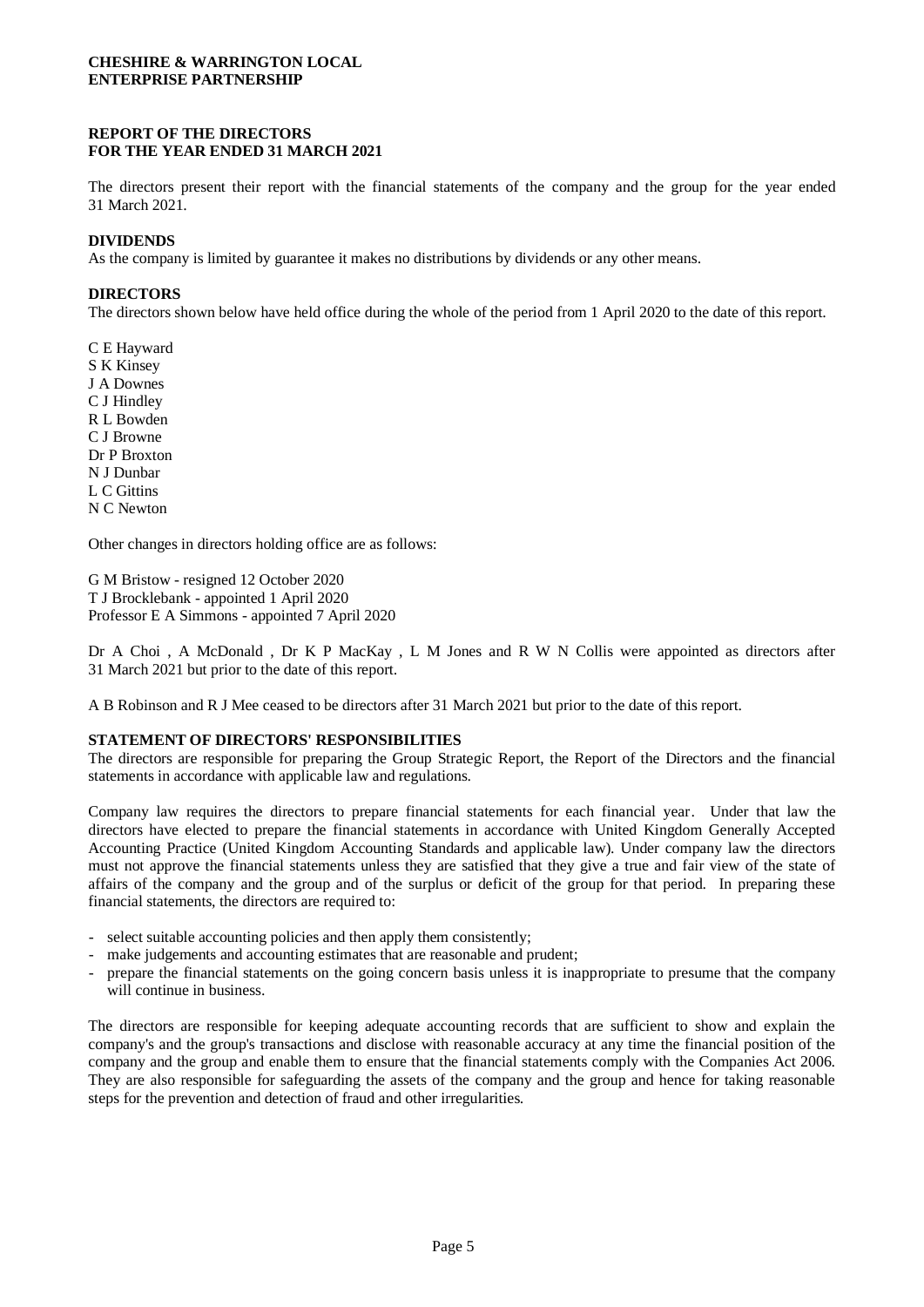## **REPORT OF THE DIRECTORS FOR THE YEAR ENDED 31 MARCH 2021**

The directors present their report with the financial statements of the company and the group for the year ended 31 March 2021.

#### **DIVIDENDS**

As the company is limited by guarantee it makes no distributions by dividends or any other means.

#### **DIRECTORS**

The directors shown below have held office during the whole of the period from 1 April 2020 to the date of this report.

C E Hayward S K Kinsey J A Downes C J Hindley R L Bowden C J Browne Dr P Broxton N J Dunbar L C Gittins N C Newton

Other changes in directors holding office are as follows:

G M Bristow - resigned 12 October 2020 T J Brocklebank - appointed 1 April 2020 Professor E A Simmons - appointed 7 April 2020

Dr A Choi, A McDonald, Dr K P MacKay, L M Jones and R W N Collis were appointed as directors after 31 March 2021 but prior to the date of this report.

A B Robinson and R J Mee ceased to be directors after 31 March 2021 but prior to the date of this report.

#### **STATEMENT OF DIRECTORS' RESPONSIBILITIES**

The directors are responsible for preparing the Group Strategic Report, the Report of the Directors and the financial statements in accordance with applicable law and regulations.

Company law requires the directors to prepare financial statements for each financial year. Under that law the directors have elected to prepare the financial statements in accordance with United Kingdom Generally Accepted Accounting Practice (United Kingdom Accounting Standards and applicable law). Under company law the directors must not approve the financial statements unless they are satisfied that they give a true and fair view of the state of affairs of the company and the group and of the surplus or deficit of the group for that period. In preparing these financial statements, the directors are required to:

- select suitable accounting policies and then apply them consistently;
- make judgements and accounting estimates that are reasonable and prudent;
- prepare the financial statements on the going concern basis unless it is inappropriate to presume that the company will continue in business.

The directors are responsible for keeping adequate accounting records that are sufficient to show and explain the company's and the group's transactions and disclose with reasonable accuracy at any time the financial position of the company and the group and enable them to ensure that the financial statements comply with the Companies Act 2006. They are also responsible for safeguarding the assets of the company and the group and hence for taking reasonable steps for the prevention and detection of fraud and other irregularities.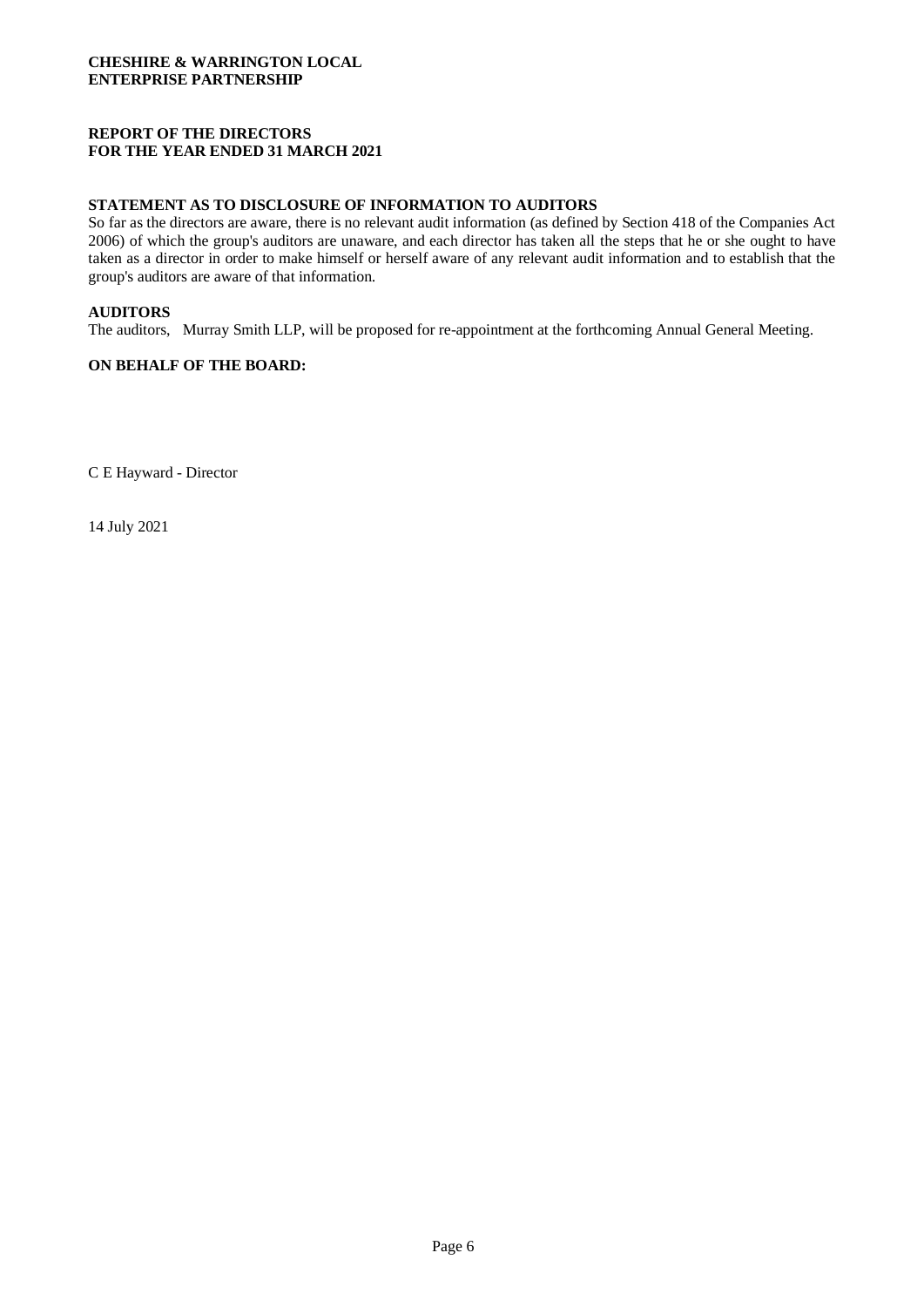## **REPORT OF THE DIRECTORS FOR THE YEAR ENDED 31 MARCH 2021**

#### **STATEMENT AS TO DISCLOSURE OF INFORMATION TO AUDITORS**

So far as the directors are aware, there is no relevant audit information (as defined by Section 418 of the Companies Act 2006) of which the group's auditors are unaware, and each director has taken all the steps that he or she ought to have taken as a director in order to make himself or herself aware of any relevant audit information and to establish that the group's auditors are aware of that information.

#### **AUDITORS**

The auditors, Murray Smith LLP, will be proposed for re-appointment at the forthcoming Annual General Meeting.

#### **ON BEHALF OF THE BOARD:**

C E Hayward - Director

14 July 2021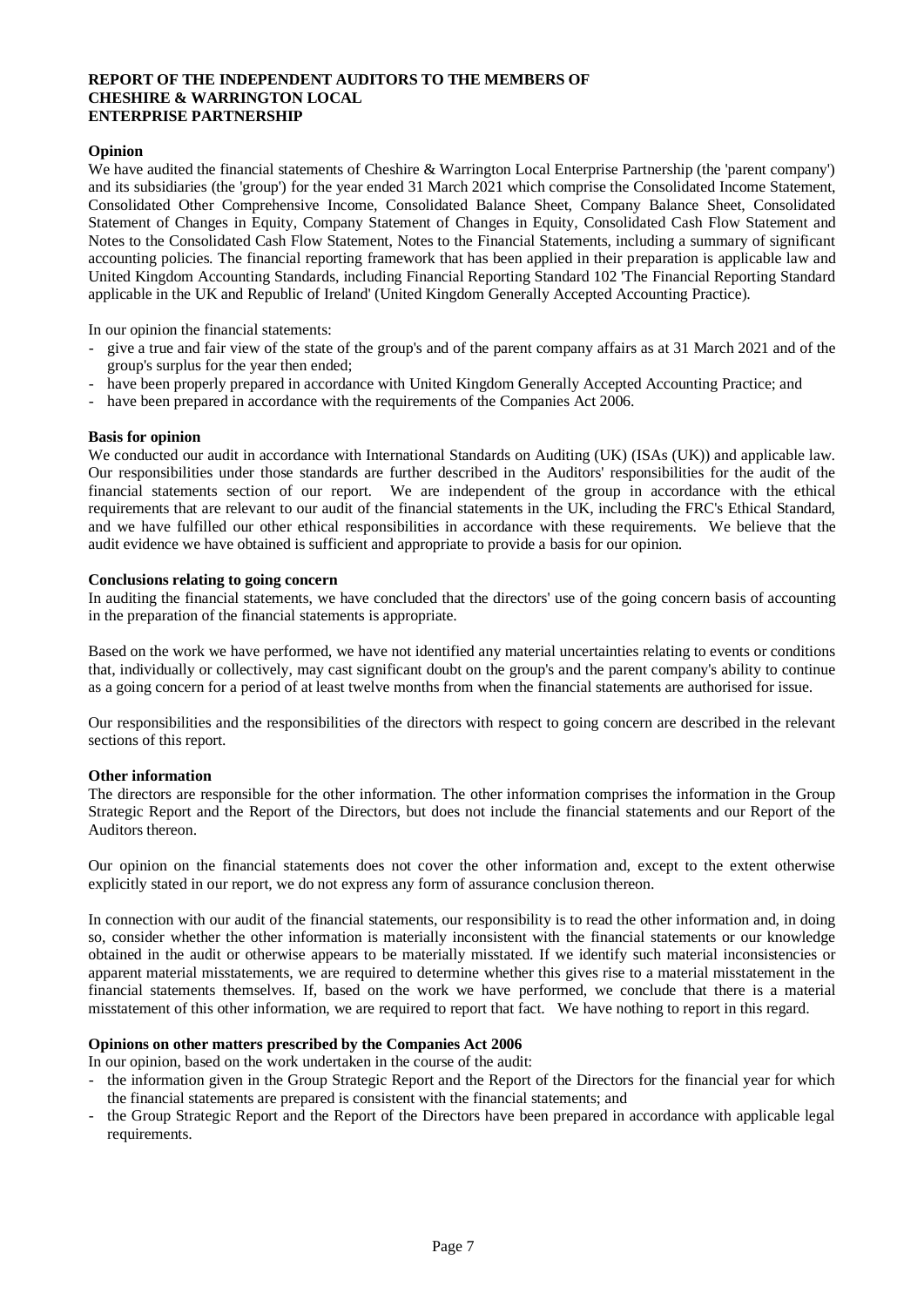#### **REPORT OF THE INDEPENDENT AUDITORS TO THE MEMBERS OF CHESHIRE & WARRINGTON LOCAL ENTERPRISE PARTNERSHIP**

## **Opinion**

We have audited the financial statements of Cheshire & Warrington Local Enterprise Partnership (the 'parent company') and its subsidiaries (the 'group') for the year ended 31 March 2021 which comprise the Consolidated Income Statement, Consolidated Other Comprehensive Income, Consolidated Balance Sheet, Company Balance Sheet, Consolidated Statement of Changes in Equity, Company Statement of Changes in Equity, Consolidated Cash Flow Statement and Notes to the Consolidated Cash Flow Statement, Notes to the Financial Statements, including a summary of significant accounting policies. The financial reporting framework that has been applied in their preparation is applicable law and United Kingdom Accounting Standards, including Financial Reporting Standard 102 'The Financial Reporting Standard applicable in the UK and Republic of Ireland' (United Kingdom Generally Accepted Accounting Practice).

In our opinion the financial statements:

- give a true and fair view of the state of the group's and of the parent company affairs as at 31 March 2021 and of the group's surplus for the year then ended;
- have been properly prepared in accordance with United Kingdom Generally Accepted Accounting Practice; and
- have been prepared in accordance with the requirements of the Companies Act 2006.

#### **Basis for opinion**

We conducted our audit in accordance with International Standards on Auditing (UK) (ISAs (UK)) and applicable law. Our responsibilities under those standards are further described in the Auditors' responsibilities for the audit of the financial statements section of our report. We are independent of the group in accordance with the ethical requirements that are relevant to our audit of the financial statements in the UK, including the FRC's Ethical Standard, and we have fulfilled our other ethical responsibilities in accordance with these requirements. We believe that the audit evidence we have obtained is sufficient and appropriate to provide a basis for our opinion.

#### **Conclusions relating to going concern**

In auditing the financial statements, we have concluded that the directors' use of the going concern basis of accounting in the preparation of the financial statements is appropriate.

Based on the work we have performed, we have not identified any material uncertainties relating to events or conditions that, individually or collectively, may cast significant doubt on the group's and the parent company's ability to continue as a going concern for a period of at least twelve months from when the financial statements are authorised for issue.

Our responsibilities and the responsibilities of the directors with respect to going concern are described in the relevant sections of this report.

#### **Other information**

The directors are responsible for the other information. The other information comprises the information in the Group Strategic Report and the Report of the Directors, but does not include the financial statements and our Report of the Auditors thereon.

Our opinion on the financial statements does not cover the other information and, except to the extent otherwise explicitly stated in our report, we do not express any form of assurance conclusion thereon.

In connection with our audit of the financial statements, our responsibility is to read the other information and, in doing so, consider whether the other information is materially inconsistent with the financial statements or our knowledge obtained in the audit or otherwise appears to be materially misstated. If we identify such material inconsistencies or apparent material misstatements, we are required to determine whether this gives rise to a material misstatement in the financial statements themselves. If, based on the work we have performed, we conclude that there is a material misstatement of this other information, we are required to report that fact. We have nothing to report in this regard.

#### **Opinions on other matters prescribed by the Companies Act 2006**

In our opinion, based on the work undertaken in the course of the audit:

- the information given in the Group Strategic Report and the Report of the Directors for the financial year for which the financial statements are prepared is consistent with the financial statements; and
- the Group Strategic Report and the Report of the Directors have been prepared in accordance with applicable legal requirements.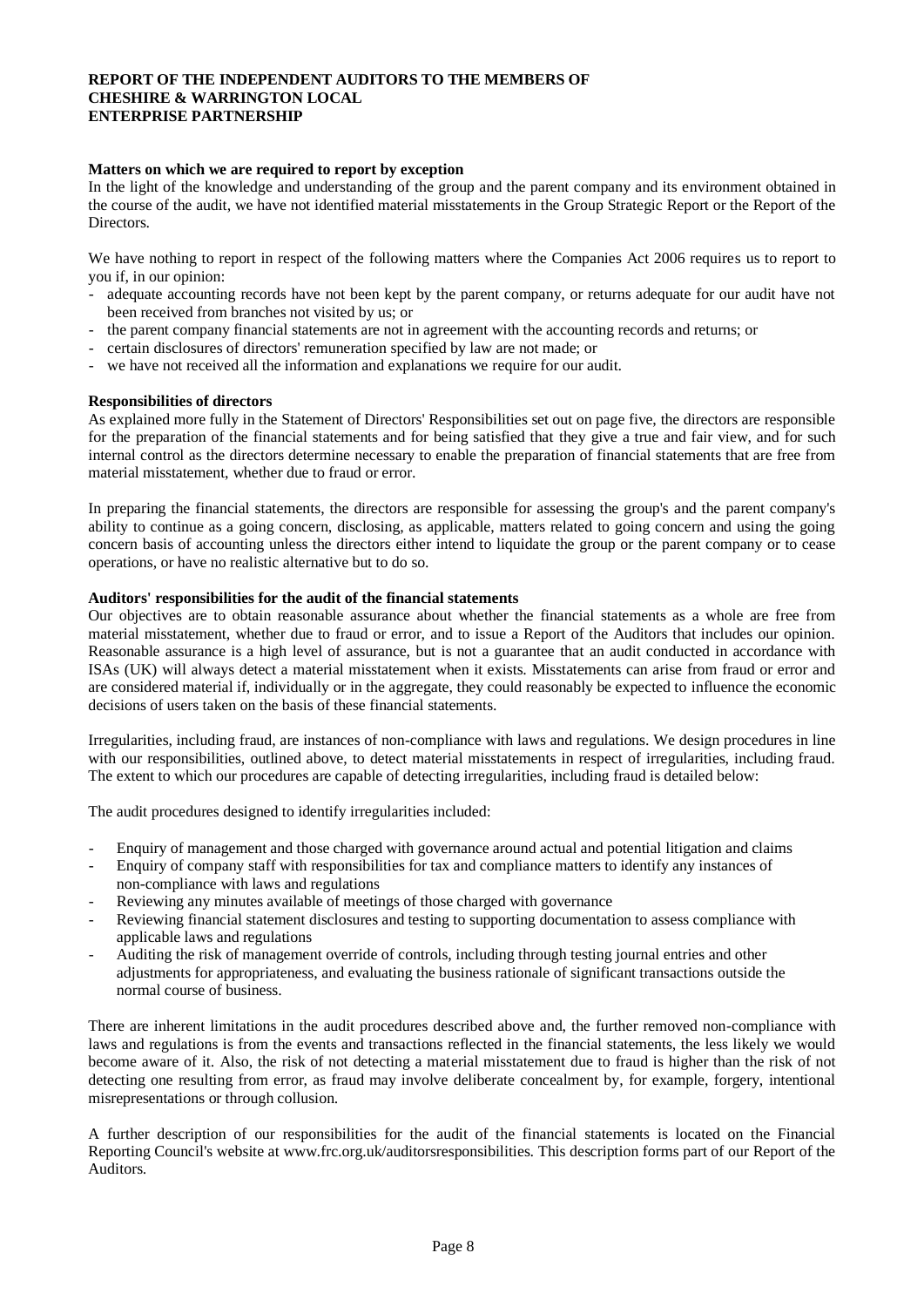#### **REPORT OF THE INDEPENDENT AUDITORS TO THE MEMBERS OF CHESHIRE & WARRINGTON LOCAL ENTERPRISE PARTNERSHIP**

#### **Matters on which we are required to report by exception**

In the light of the knowledge and understanding of the group and the parent company and its environment obtained in the course of the audit, we have not identified material misstatements in the Group Strategic Report or the Report of the Directors.

We have nothing to report in respect of the following matters where the Companies Act 2006 requires us to report to you if, in our opinion:

- adequate accounting records have not been kept by the parent company, or returns adequate for our audit have not been received from branches not visited by us; or
- the parent company financial statements are not in agreement with the accounting records and returns; or
- certain disclosures of directors' remuneration specified by law are not made; or
- we have not received all the information and explanations we require for our audit.

#### **Responsibilities of directors**

As explained more fully in the Statement of Directors' Responsibilities set out on page five, the directors are responsible for the preparation of the financial statements and for being satisfied that they give a true and fair view, and for such internal control as the directors determine necessary to enable the preparation of financial statements that are free from material misstatement, whether due to fraud or error.

In preparing the financial statements, the directors are responsible for assessing the group's and the parent company's ability to continue as a going concern, disclosing, as applicable, matters related to going concern and using the going concern basis of accounting unless the directors either intend to liquidate the group or the parent company or to cease operations, or have no realistic alternative but to do so.

#### **Auditors' responsibilities for the audit of the financial statements**

Our objectives are to obtain reasonable assurance about whether the financial statements as a whole are free from material misstatement, whether due to fraud or error, and to issue a Report of the Auditors that includes our opinion. Reasonable assurance is a high level of assurance, but is not a guarantee that an audit conducted in accordance with ISAs (UK) will always detect a material misstatement when it exists. Misstatements can arise from fraud or error and are considered material if, individually or in the aggregate, they could reasonably be expected to influence the economic decisions of users taken on the basis of these financial statements.

Irregularities, including fraud, are instances of non-compliance with laws and regulations. We design procedures in line with our responsibilities, outlined above, to detect material misstatements in respect of irregularities, including fraud. The extent to which our procedures are capable of detecting irregularities, including fraud is detailed below:

The audit procedures designed to identify irregularities included:

- Enquiry of management and those charged with governance around actual and potential litigation and claims
- Enquiry of company staff with responsibilities for tax and compliance matters to identify any instances of non-compliance with laws and regulations
- Reviewing any minutes available of meetings of those charged with governance
- Reviewing financial statement disclosures and testing to supporting documentation to assess compliance with applicable laws and regulations
- Auditing the risk of management override of controls, including through testing journal entries and other adjustments for appropriateness, and evaluating the business rationale of significant transactions outside the normal course of business.

There are inherent limitations in the audit procedures described above and, the further removed non-compliance with laws and regulations is from the events and transactions reflected in the financial statements, the less likely we would become aware of it. Also, the risk of not detecting a material misstatement due to fraud is higher than the risk of not detecting one resulting from error, as fraud may involve deliberate concealment by, for example, forgery, intentional misrepresentations or through collusion.

A further description of our responsibilities for the audit of the financial statements is located on the Financial Reporting Council's website at www.frc.org.uk/auditorsresponsibilities. This description forms part of our Report of the Auditors.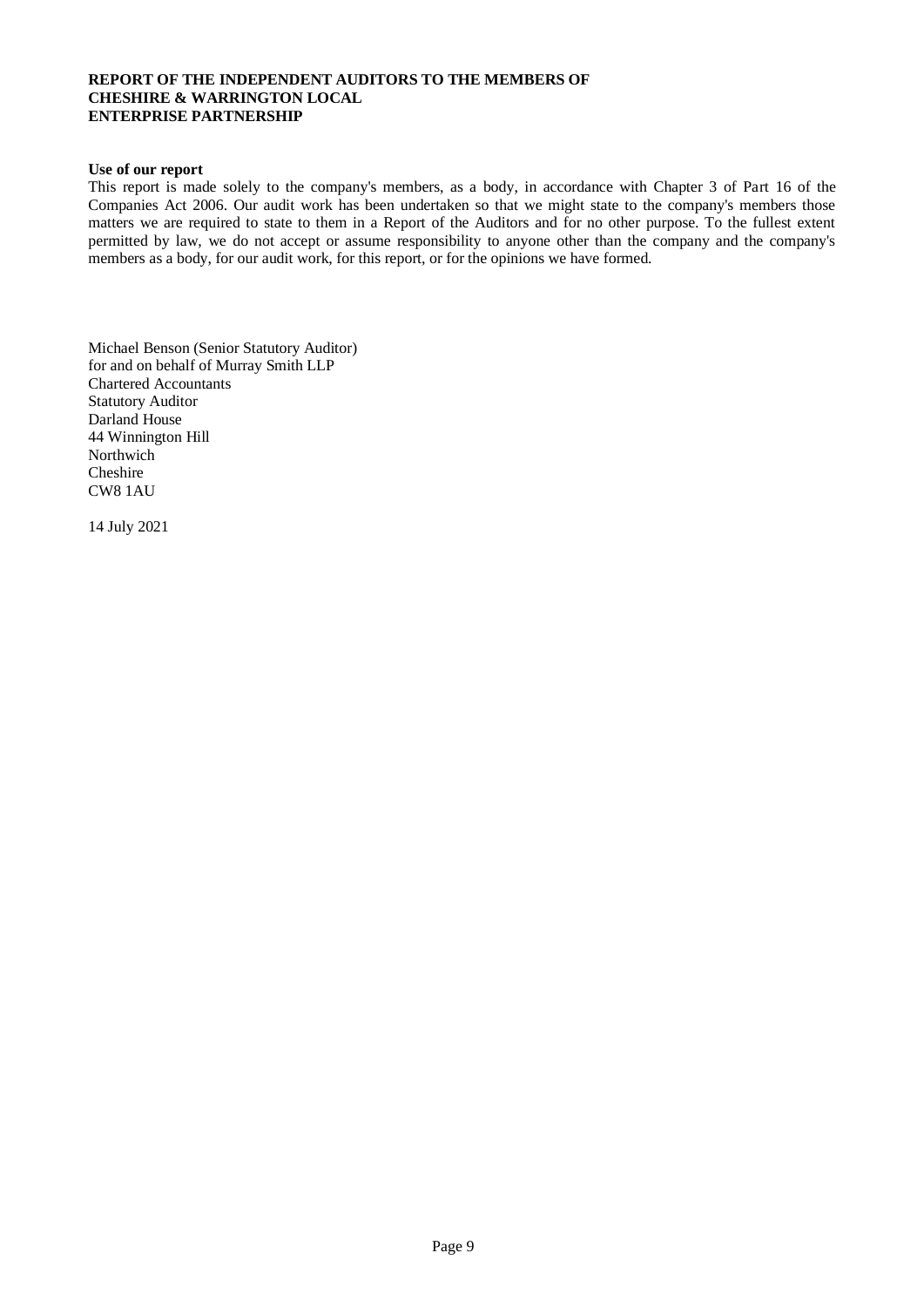#### **REPORT OF THE INDEPENDENT AUDITORS TO THE MEMBERS OF CHESHIRE & WARRINGTON LOCAL ENTERPRISE PARTNERSHIP**

#### **Use of our report**

This report is made solely to the company's members, as a body, in accordance with Chapter 3 of Part 16 of the Companies Act 2006. Our audit work has been undertaken so that we might state to the company's members those matters we are required to state to them in a Report of the Auditors and for no other purpose. To the fullest extent permitted by law, we do not accept or assume responsibility to anyone other than the company and the company's members as a body, for our audit work, for this report, or for the opinions we have formed.

Michael Benson (Senior Statutory Auditor) for and on behalf of Murray Smith LLP Chartered Accountants Statutory Auditor Darland House 44 Winnington Hill **Northwich** Cheshire CW8 1AU

14 July 2021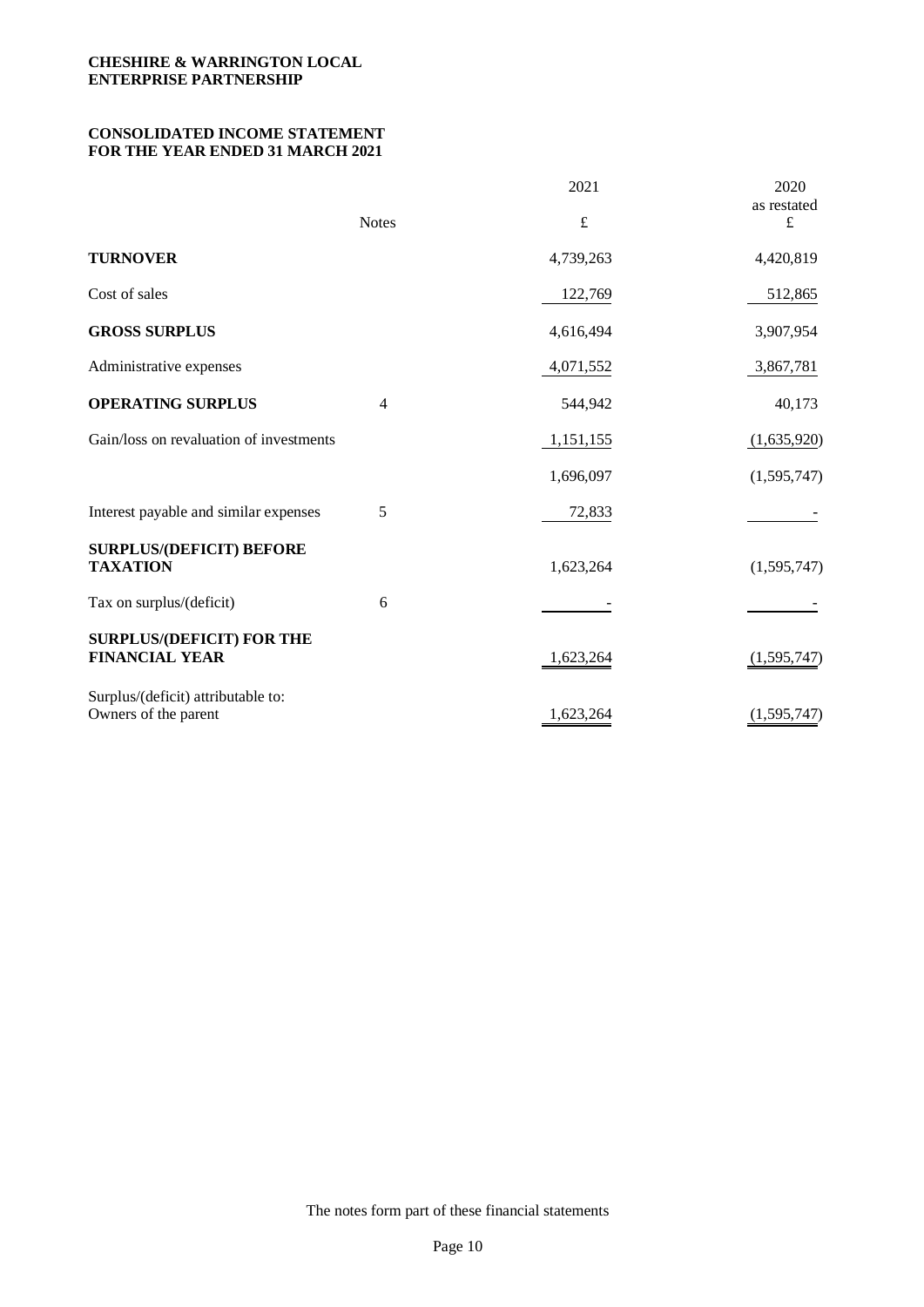## **CONSOLIDATED INCOME STATEMENT FOR THE YEAR ENDED 31 MARCH 2021**

|                                                            |                          | 2021      | 2020<br>as restated |
|------------------------------------------------------------|--------------------------|-----------|---------------------|
|                                                            | <b>Notes</b>             | $\pounds$ | $\pounds$           |
| <b>TURNOVER</b>                                            |                          | 4,739,263 | 4,420,819           |
| Cost of sales                                              |                          | 122,769   | 512,865             |
| <b>GROSS SURPLUS</b>                                       |                          | 4,616,494 | 3,907,954           |
| Administrative expenses                                    |                          | 4,071,552 | 3,867,781           |
| <b>OPERATING SURPLUS</b>                                   | $\overline{\mathcal{A}}$ | 544,942   | 40,173              |
| Gain/loss on revaluation of investments                    |                          | 1,151,155 | (1,635,920)         |
|                                                            |                          | 1,696,097 | (1,595,747)         |
| Interest payable and similar expenses                      | 5                        | 72,833    |                     |
| <b>SURPLUS/(DEFICIT) BEFORE</b><br><b>TAXATION</b>         |                          | 1,623,264 | (1,595,747)         |
| Tax on surplus/(deficit)                                   | 6                        |           |                     |
| <b>SURPLUS/(DEFICIT) FOR THE</b><br><b>FINANCIAL YEAR</b>  |                          | 1,623,264 | (1,595,747)         |
| Surplus/(deficit) attributable to:<br>Owners of the parent |                          | 1,623,264 | (1, 595, 747)       |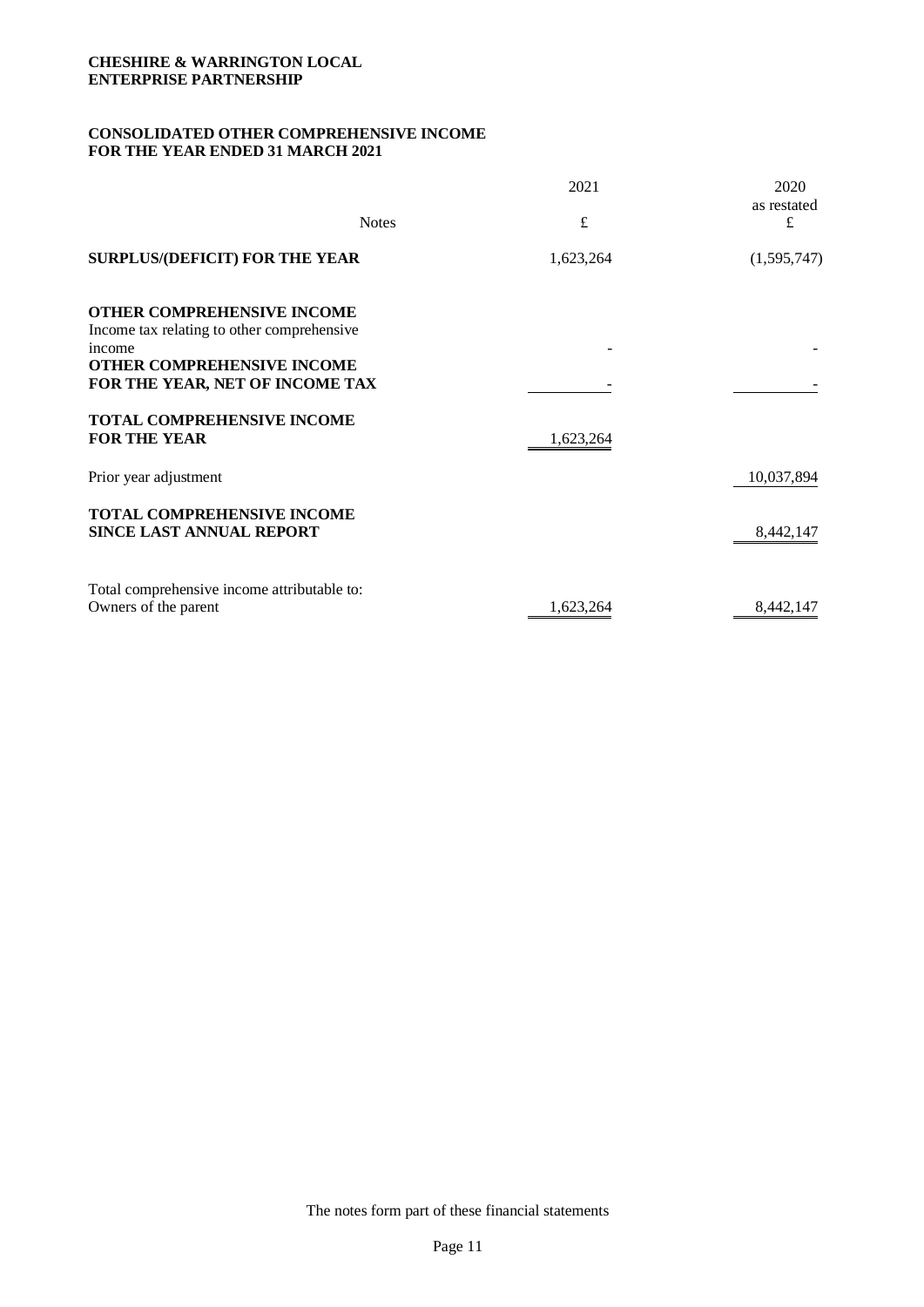## **CONSOLIDATED OTHER COMPREHENSIVE INCOME FOR THE YEAR ENDED 31 MARCH 2021**

| <b>Notes</b>                                                                                                                                                      | 2021<br>$\pounds$ | 2020<br>as restated<br>£ |
|-------------------------------------------------------------------------------------------------------------------------------------------------------------------|-------------------|--------------------------|
| <b>SURPLUS/(DEFICIT) FOR THE YEAR</b>                                                                                                                             | 1,623,264         | (1,595,747)              |
| <b>OTHER COMPREHENSIVE INCOME</b><br>Income tax relating to other comprehensive<br>income<br><b>OTHER COMPREHENSIVE INCOME</b><br>FOR THE YEAR, NET OF INCOME TAX |                   |                          |
| <b>TOTAL COMPREHENSIVE INCOME</b><br><b>FOR THE YEAR</b>                                                                                                          | 1,623,264         |                          |
| Prior year adjustment                                                                                                                                             |                   | 10,037,894               |
| TOTAL COMPREHENSIVE INCOME<br><b>SINCE LAST ANNUAL REPORT</b>                                                                                                     |                   | 8,442,147                |
| Total comprehensive income attributable to:<br>Owners of the parent                                                                                               | 1,623,264         | 8,442,147                |

The notes form part of these financial statements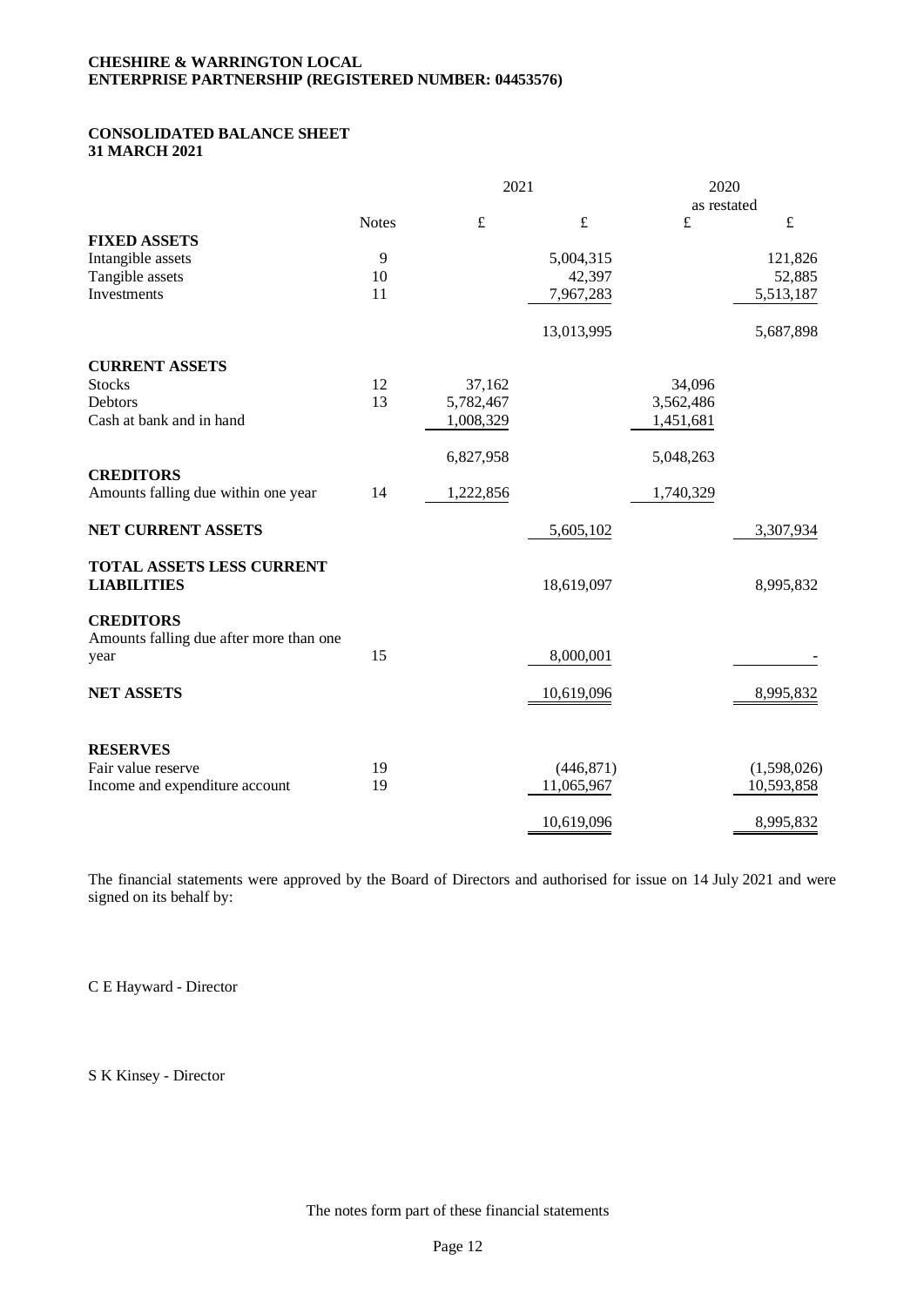## **CHESHIRE & WARRINGTON LOCAL ENTERPRISE PARTNERSHIP (REGISTERED NUMBER: 04453576)**

## **CONSOLIDATED BALANCE SHEET 31 MARCH 2021**

|                                                         | 2021         |           | 2020<br>as restated |           |             |
|---------------------------------------------------------|--------------|-----------|---------------------|-----------|-------------|
|                                                         | <b>Notes</b> | $\pounds$ | $\pounds$           | £         | $\pounds$   |
| <b>FIXED ASSETS</b>                                     |              |           |                     |           |             |
| Intangible assets                                       | 9            |           | 5,004,315           |           | 121,826     |
| Tangible assets                                         | 10           |           | 42,397              |           | 52,885      |
| Investments                                             | 11           |           | 7,967,283           |           | 5,513,187   |
|                                                         |              |           | 13,013,995          |           | 5,687,898   |
| <b>CURRENT ASSETS</b>                                   |              |           |                     |           |             |
| <b>Stocks</b>                                           | 12           | 37,162    |                     | 34,096    |             |
| <b>Debtors</b>                                          | 13           | 5,782,467 |                     | 3,562,486 |             |
| Cash at bank and in hand                                |              | 1,008,329 |                     | 1,451,681 |             |
|                                                         |              | 6,827,958 |                     | 5,048,263 |             |
| <b>CREDITORS</b><br>Amounts falling due within one year | 14           | 1,222,856 |                     | 1,740,329 |             |
|                                                         |              |           |                     |           |             |
| NET CURRENT ASSETS                                      |              |           | 5,605,102           |           | 3,307,934   |
| <b>TOTAL ASSETS LESS CURRENT</b><br><b>LIABILITIES</b>  |              |           | 18,619,097          |           | 8,995,832   |
| <b>CREDITORS</b>                                        |              |           |                     |           |             |
| Amounts falling due after more than one<br>year         | 15           |           | 8,000,001           |           |             |
| <b>NET ASSETS</b>                                       |              |           | 10,619,096          |           | 8,995,832   |
|                                                         |              |           |                     |           |             |
| <b>RESERVES</b><br>Fair value reserve                   | 19           |           | (446, 871)          |           | (1,598,026) |
| Income and expenditure account                          | 19           |           | 11,065,967          |           | 10,593,858  |
|                                                         |              |           |                     |           |             |
|                                                         |              |           | 10,619,096          |           | 8,995,832   |

The financial statements were approved by the Board of Directors and authorised for issue on 14 July 2021 and were signed on its behalf by:

C E Hayward - Director

S K Kinsey - Director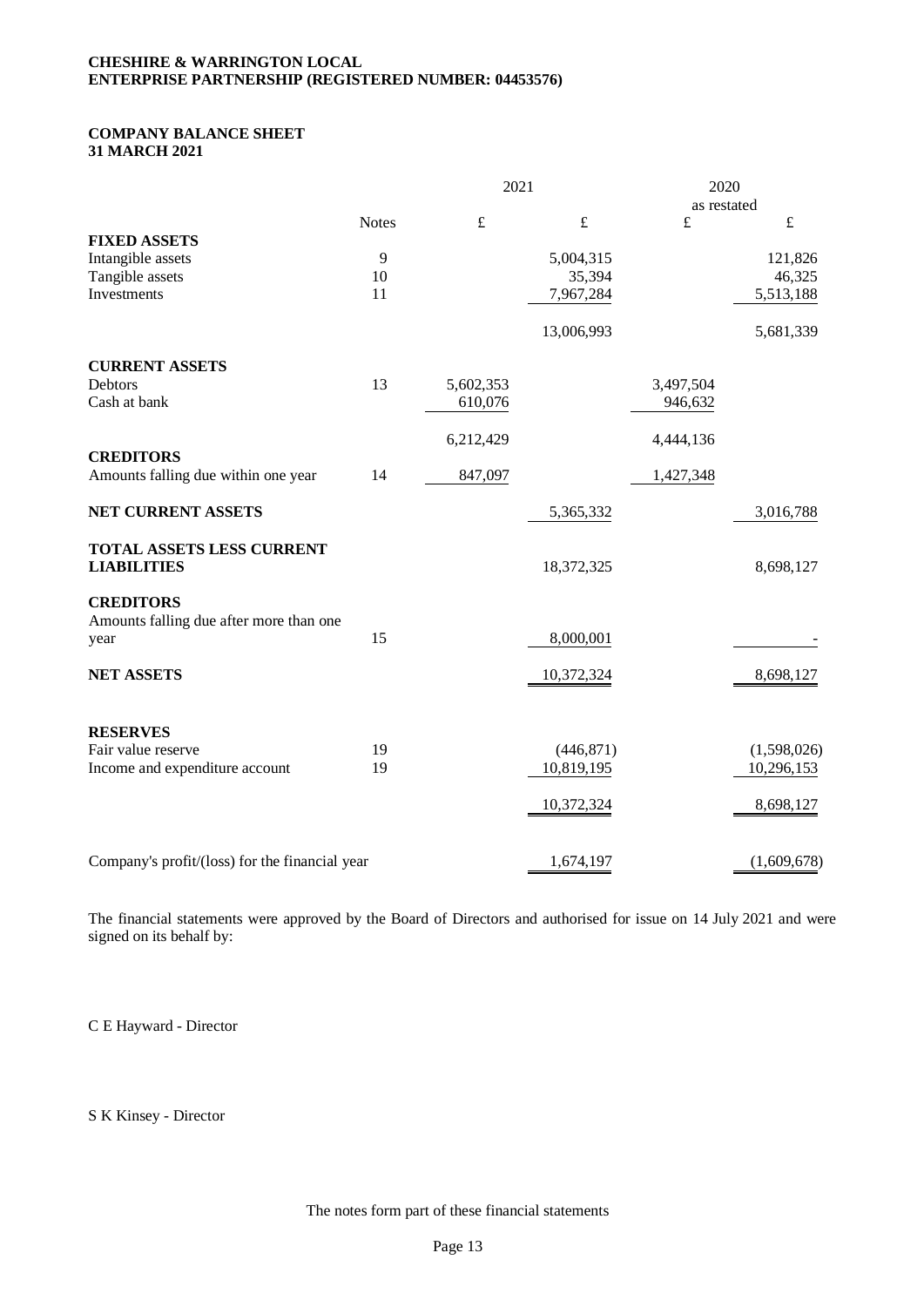## **CHESHIRE & WARRINGTON LOCAL ENTERPRISE PARTNERSHIP (REGISTERED NUMBER: 04453576)**

## **COMPANY BALANCE SHEET 31 MARCH 2021**

|                                                         |              | 2021      |            | 2020        |             |
|---------------------------------------------------------|--------------|-----------|------------|-------------|-------------|
|                                                         |              |           |            | as restated |             |
|                                                         | <b>Notes</b> | $\pounds$ | $\pounds$  | £           | $\pounds$   |
| <b>FIXED ASSETS</b>                                     |              |           |            |             |             |
| Intangible assets                                       | 9            |           | 5,004,315  |             | 121,826     |
| Tangible assets                                         | 10           |           | 35,394     |             | 46,325      |
| Investments                                             | 11           |           | 7,967,284  |             | 5,513,188   |
|                                                         |              |           | 13,006,993 |             | 5,681,339   |
| <b>CURRENT ASSETS</b>                                   |              |           |            |             |             |
| Debtors                                                 | 13           | 5,602,353 |            | 3,497,504   |             |
| Cash at bank                                            |              | 610,076   |            | 946,632     |             |
|                                                         |              | 6,212,429 |            | 4,444,136   |             |
| <b>CREDITORS</b><br>Amounts falling due within one year | 14           | 847,097   |            | 1,427,348   |             |
|                                                         |              |           |            |             |             |
| NET CURRENT ASSETS                                      |              |           | 5,365,332  |             | 3,016,788   |
| TOTAL ASSETS LESS CURRENT<br><b>LIABILITIES</b>         |              |           | 18,372,325 |             | 8,698,127   |
|                                                         |              |           |            |             |             |
| <b>CREDITORS</b>                                        |              |           |            |             |             |
| Amounts falling due after more than one                 |              |           |            |             |             |
| year                                                    | 15           |           | 8,000,001  |             |             |
| <b>NET ASSETS</b>                                       |              |           | 10,372,324 |             | 8,698,127   |
|                                                         |              |           |            |             |             |
| <b>RESERVES</b>                                         |              |           |            |             |             |
| Fair value reserve                                      | 19           |           | (446, 871) |             | (1,598,026) |
| Income and expenditure account                          | 19           |           | 10,819,195 |             | 10,296,153  |
|                                                         |              |           | 10,372,324 |             | 8,698,127   |
|                                                         |              |           |            |             |             |
| Company's profit/(loss) for the financial year          |              |           | 1,674,197  |             | (1,609,678) |

The financial statements were approved by the Board of Directors and authorised for issue on 14 July 2021 and were signed on its behalf by:

C E Hayward - Director

S K Kinsey - Director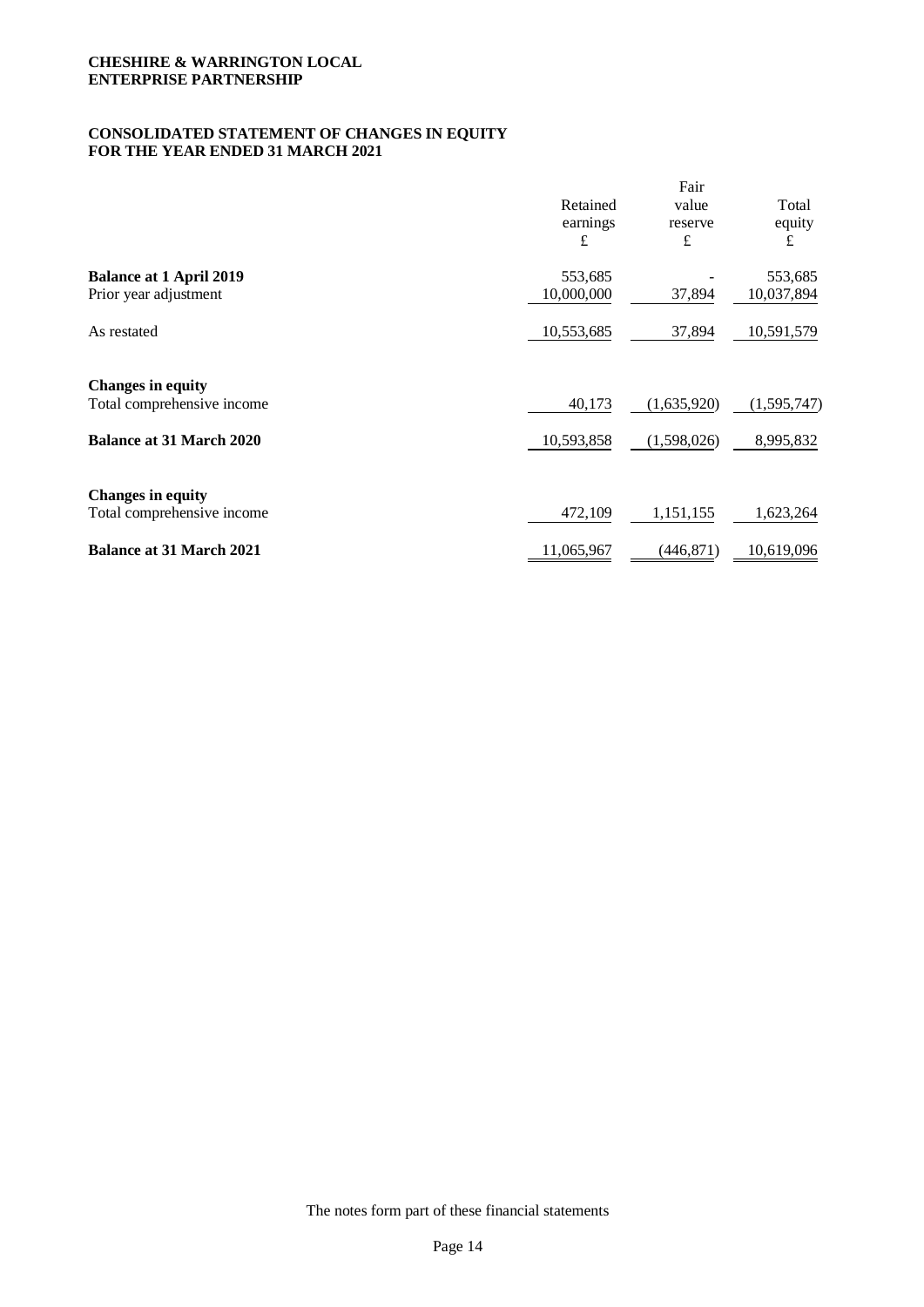## **CONSOLIDATED STATEMENT OF CHANGES IN EQUITY FOR THE YEAR ENDED 31 MARCH 2021**

|                                 |            | Fair        |               |
|---------------------------------|------------|-------------|---------------|
|                                 | Retained   | value       | Total         |
|                                 | earnings   | reserve     | equity        |
|                                 | £          | £           | £             |
| <b>Balance at 1 April 2019</b>  | 553,685    |             | 553,685       |
| Prior year adjustment           | 10,000,000 | 37,894      | 10,037,894    |
| As restated                     | 10,553,685 | 37,894      | 10,591,579    |
| <b>Changes in equity</b>        |            |             |               |
| Total comprehensive income      | 40,173     | (1,635,920) | (1, 595, 747) |
| <b>Balance at 31 March 2020</b> | 10,593,858 | (1,598,026) | 8,995,832     |
| <b>Changes in equity</b>        |            |             |               |
| Total comprehensive income      | 472,109    | 1,151,155   | 1,623,264     |
| <b>Balance at 31 March 2021</b> | 11,065,967 | (446, 871)  | 10,619,096    |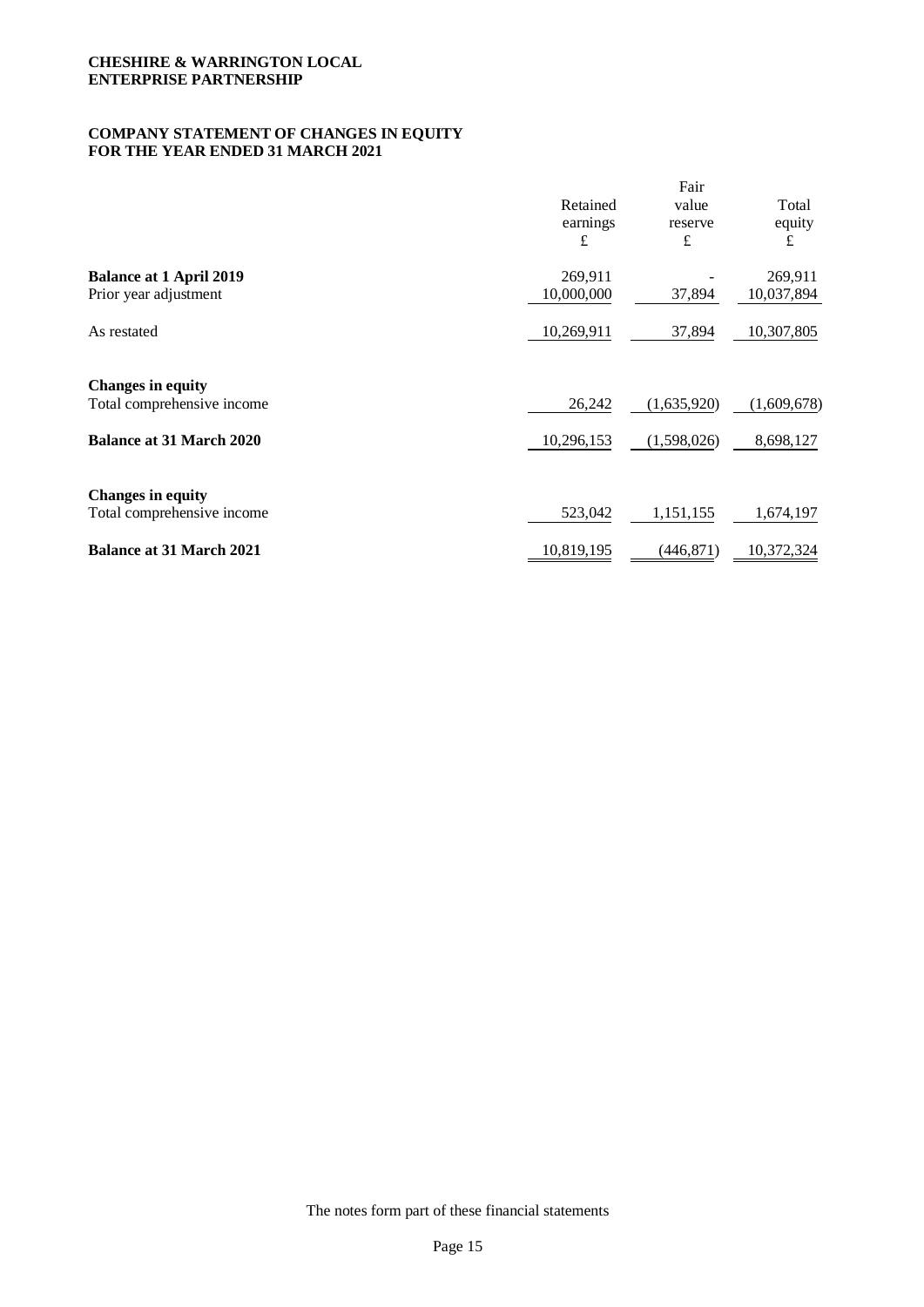## **COMPANY STATEMENT OF CHANGES IN EQUITY FOR THE YEAR ENDED 31 MARCH 2021**

|                                 |            | Fair        |             |
|---------------------------------|------------|-------------|-------------|
|                                 | Retained   | value       | Total       |
|                                 | earnings   | reserve     | equity      |
|                                 | £          | £           | £           |
| <b>Balance at 1 April 2019</b>  | 269,911    |             | 269,911     |
| Prior year adjustment           | 10,000,000 | 37,894      | 10,037,894  |
| As restated                     | 10,269,911 | 37,894      | 10,307,805  |
| <b>Changes in equity</b>        |            |             |             |
| Total comprehensive income      | 26,242     | (1,635,920) | (1,609,678) |
| <b>Balance at 31 March 2020</b> | 10,296,153 | (1,598,026) | 8,698,127   |
| <b>Changes in equity</b>        |            |             |             |
| Total comprehensive income      | 523,042    | 1,151,155   | 1,674,197   |
| <b>Balance at 31 March 2021</b> | 10,819,195 | (446, 871)  | 10,372,324  |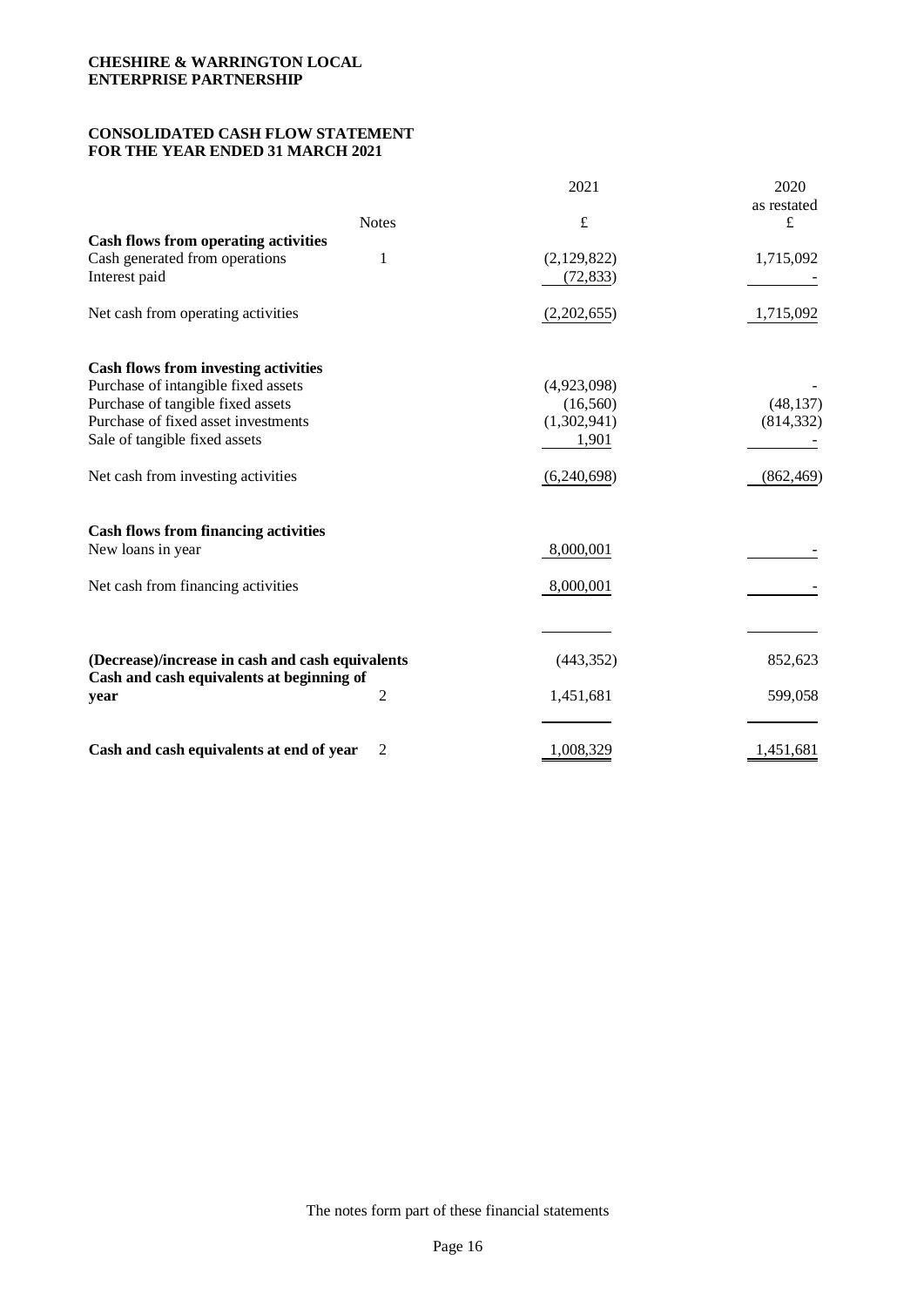## **CONSOLIDATED CASH FLOW STATEMENT FOR THE YEAR ENDED 31 MARCH 2021**

|                                                  |              | 2021        | 2020        |
|--------------------------------------------------|--------------|-------------|-------------|
|                                                  |              |             | as restated |
| <b>Cash flows from operating activities</b>      | <b>Notes</b> | $\pounds$   | $\pounds$   |
| Cash generated from operations                   | 1            | (2,129,822) | 1,715,092   |
| Interest paid                                    |              | (72, 833)   |             |
|                                                  |              |             |             |
| Net cash from operating activities               |              | (2,202,655) | 1,715,092   |
| <b>Cash flows from investing activities</b>      |              |             |             |
| Purchase of intangible fixed assets              |              | (4,923,098) |             |
| Purchase of tangible fixed assets                |              | (16, 560)   | (48, 137)   |
| Purchase of fixed asset investments              |              | (1,302,941) | (814, 332)  |
| Sale of tangible fixed assets                    |              | 1,901       |             |
| Net cash from investing activities               |              | (6,240,698) | (862, 469)  |
| <b>Cash flows from financing activities</b>      |              |             |             |
| New loans in year                                |              | 8,000,001   |             |
| Net cash from financing activities               |              | 8,000,001   |             |
|                                                  |              |             |             |
| (Decrease)/increase in cash and cash equivalents |              | (443, 352)  | 852,623     |
| Cash and cash equivalents at beginning of        |              |             |             |
| year                                             | 2            | 1,451,681   | 599,058     |
|                                                  |              |             |             |
| Cash and cash equivalents at end of year         | 2            | 1,008,329   | 1,451,681   |

The notes form part of these financial statements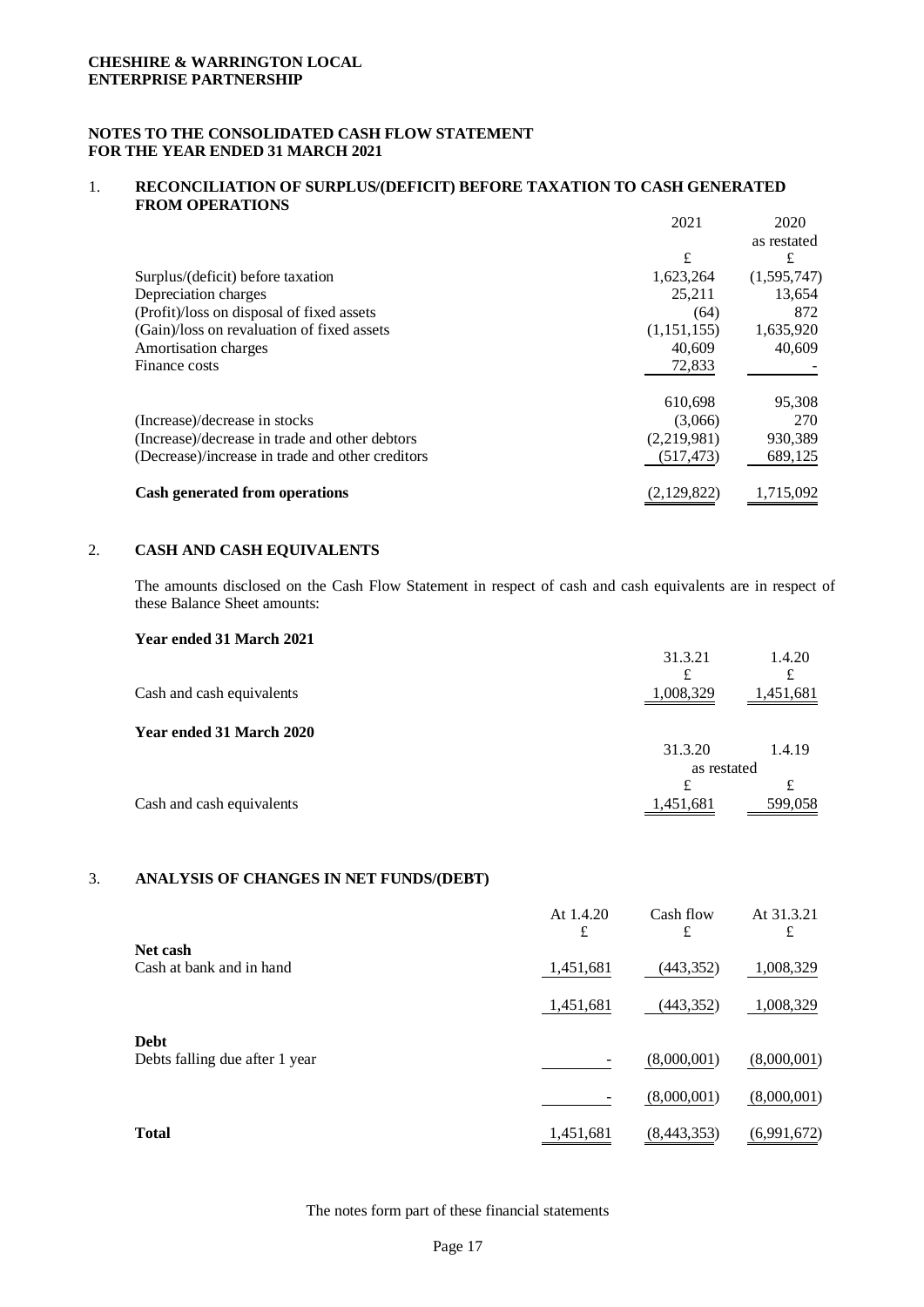## **NOTES TO THE CONSOLIDATED CASH FLOW STATEMENT FOR THE YEAR ENDED 31 MARCH 2021**

#### 1. **RECONCILIATION OF SURPLUS/(DEFICIT) BEFORE TAXATION TO CASH GENERATED FROM OPERATIONS**

|                                                  | 2021        | 2020        |
|--------------------------------------------------|-------------|-------------|
|                                                  |             | as restated |
|                                                  | £           | £           |
| Surplus/(deficit) before taxation                | 1,623,264   | (1,595,747) |
| Depreciation charges                             | 25,211      | 13,654      |
| (Profit)/loss on disposal of fixed assets        | (64)        | 872         |
| (Gain)/loss on revaluation of fixed assets       | (1,151,155) | 1,635,920   |
| Amortisation charges                             | 40,609      | 40,609      |
| Finance costs                                    | 72,833      |             |
|                                                  | 610.698     | 95,308      |
| (Increase)/decrease in stocks                    | (3,066)     | 270         |
| (Increase)/decrease in trade and other debtors   | (2,219,981) | 930,389     |
| (Decrease)/increase in trade and other creditors | (517, 473)  | 689,125     |
| <b>Cash generated from operations</b>            | (2,129,822) | 1,715,092   |

#### 2. **CASH AND CASH EQUIVALENTS**

The amounts disclosed on the Cash Flow Statement in respect of cash and cash equivalents are in respect of these Balance Sheet amounts:

| Teal Chucu 91 March 2021  | 31.3.21        | 1.4.20    |
|---------------------------|----------------|-----------|
| Cash and cash equivalents | £<br>1,008,329 | 1,451,681 |
| Year ended 31 March 2020  |                |           |
|                           | 31.3.20        | 1.4.19    |
|                           | as restated    |           |
|                           | £              |           |
| Cash and cash equivalents | 1,451,681      | 599,058   |

## 3. **ANALYSIS OF CHANGES IN NET FUNDS/(DEBT)**

|                                               | At $1.4.20$<br>£ | Cash flow<br>£ | At 31.3.21<br>£ |
|-----------------------------------------------|------------------|----------------|-----------------|
| Net cash<br>Cash at bank and in hand          | 1,451,681        | (443, 352)     | 1,008,329       |
|                                               | 1,451,681        | (443, 352)     | 1,008,329       |
| <b>Debt</b><br>Debts falling due after 1 year |                  | (8,000,001)    | (8,000,001)     |
|                                               |                  | (8,000,001)    | (8,000,001)     |
| <b>Total</b>                                  | 1,451,681        | (8,443,353)    | (6,991,672)     |

The notes form part of these financial statements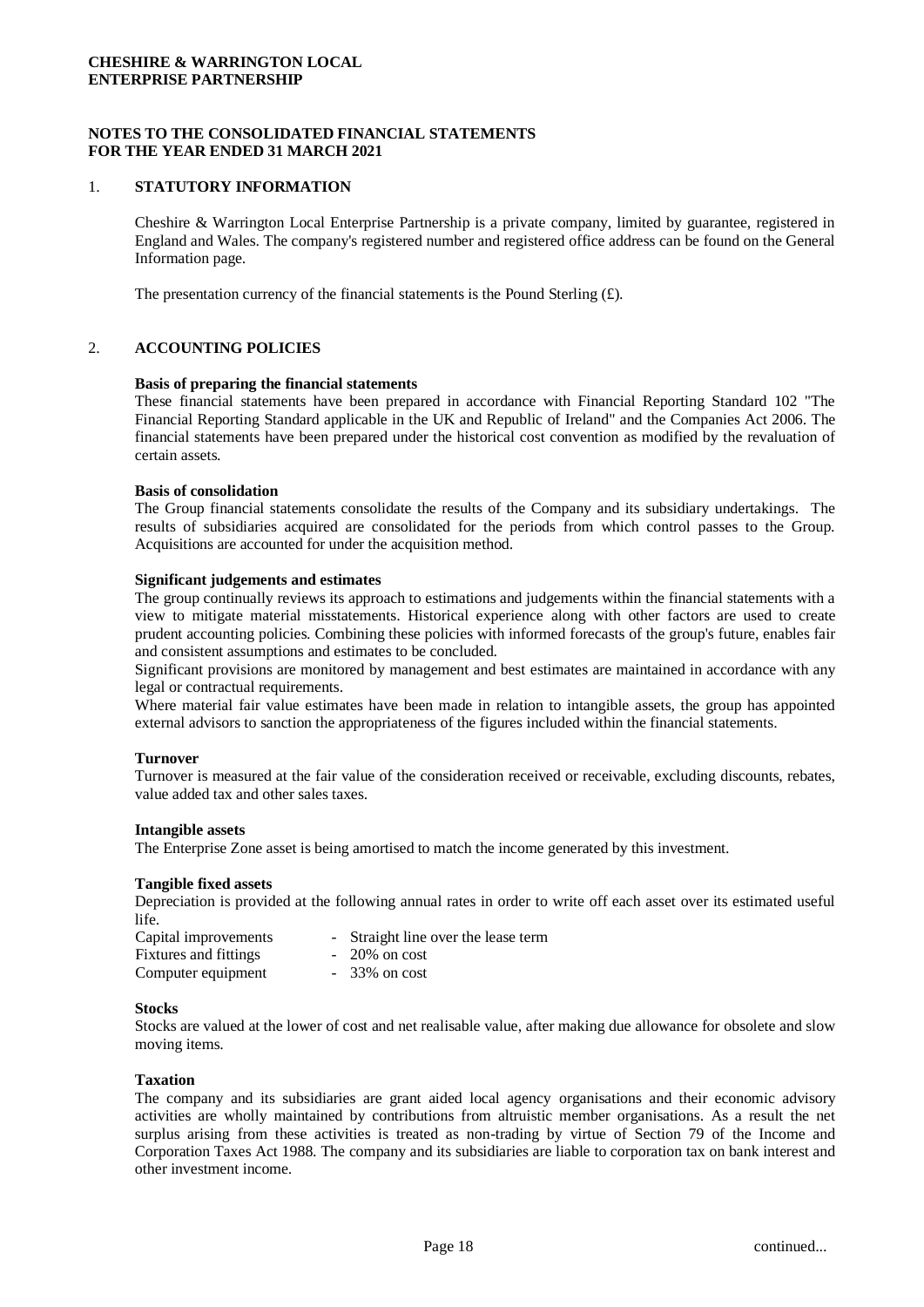#### **NOTES TO THE CONSOLIDATED FINANCIAL STATEMENTS FOR THE YEAR ENDED 31 MARCH 2021**

#### 1. **STATUTORY INFORMATION**

Cheshire & Warrington Local Enterprise Partnership is a private company, limited by guarantee, registered in England and Wales. The company's registered number and registered office address can be found on the General Information page.

The presentation currency of the financial statements is the Pound Sterling  $(E)$ .

#### 2. **ACCOUNTING POLICIES**

#### **Basis of preparing the financial statements**

These financial statements have been prepared in accordance with Financial Reporting Standard 102 "The Financial Reporting Standard applicable in the UK and Republic of Ireland" and the Companies Act 2006. The financial statements have been prepared under the historical cost convention as modified by the revaluation of certain assets.

#### **Basis of consolidation**

The Group financial statements consolidate the results of the Company and its subsidiary undertakings. The results of subsidiaries acquired are consolidated for the periods from which control passes to the Group. Acquisitions are accounted for under the acquisition method.

#### **Significant judgements and estimates**

The group continually reviews its approach to estimations and judgements within the financial statements with a view to mitigate material misstatements. Historical experience along with other factors are used to create prudent accounting policies. Combining these policies with informed forecasts of the group's future, enables fair and consistent assumptions and estimates to be concluded.

Significant provisions are monitored by management and best estimates are maintained in accordance with any legal or contractual requirements.

Where material fair value estimates have been made in relation to intangible assets, the group has appointed external advisors to sanction the appropriateness of the figures included within the financial statements.

#### **Turnover**

Turnover is measured at the fair value of the consideration received or receivable, excluding discounts, rebates, value added tax and other sales taxes.

#### **Intangible assets**

The Enterprise Zone asset is being amortised to match the income generated by this investment.

#### **Tangible fixed assets**

Depreciation is provided at the following annual rates in order to write off each asset over its estimated useful life.

| Capital improvements  | - Straight line over the lease term |
|-----------------------|-------------------------------------|
| Fixtures and fittings | $-20\%$ on cost                     |
| Computer equipment    | $-33\%$ on cost                     |

#### **Stocks**

Stocks are valued at the lower of cost and net realisable value, after making due allowance for obsolete and slow moving items.

#### **Taxation**

The company and its subsidiaries are grant aided local agency organisations and their economic advisory activities are wholly maintained by contributions from altruistic member organisations. As a result the net surplus arising from these activities is treated as non-trading by virtue of Section 79 of the Income and Corporation Taxes Act 1988. The company and its subsidiaries are liable to corporation tax on bank interest and other investment income.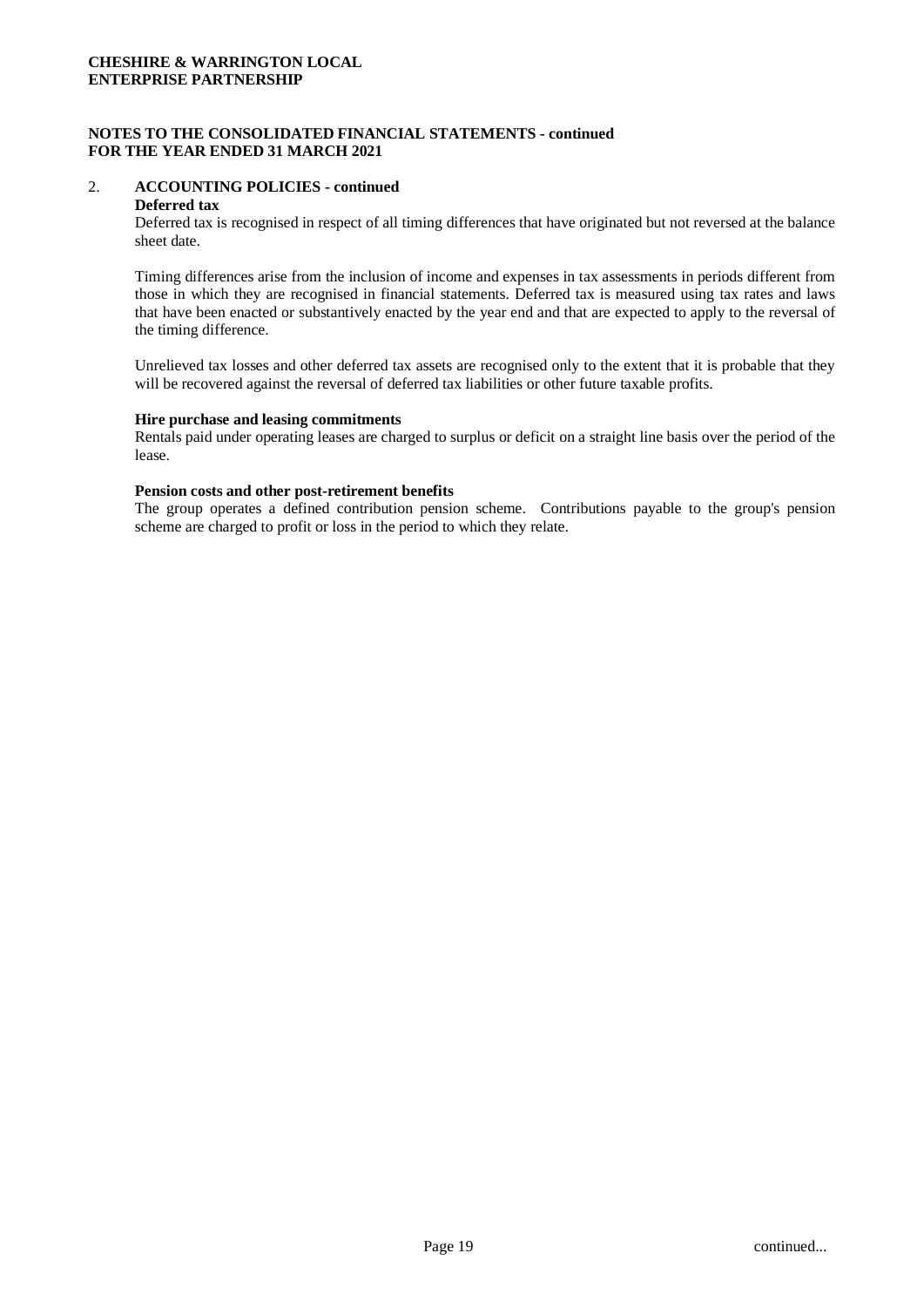## **NOTES TO THE CONSOLIDATED FINANCIAL STATEMENTS - continued FOR THE YEAR ENDED 31 MARCH 2021**

# 2. **ACCOUNTING POLICIES - continued**

## **Deferred tax**

Deferred tax is recognised in respect of all timing differences that have originated but not reversed at the balance sheet date.

Timing differences arise from the inclusion of income and expenses in tax assessments in periods different from those in which they are recognised in financial statements. Deferred tax is measured using tax rates and laws that have been enacted or substantively enacted by the year end and that are expected to apply to the reversal of the timing difference.

Unrelieved tax losses and other deferred tax assets are recognised only to the extent that it is probable that they will be recovered against the reversal of deferred tax liabilities or other future taxable profits.

#### **Hire purchase and leasing commitments**

Rentals paid under operating leases are charged to surplus or deficit on a straight line basis over the period of the lease.

#### **Pension costs and other post-retirement benefits**

The group operates a defined contribution pension scheme. Contributions payable to the group's pension scheme are charged to profit or loss in the period to which they relate.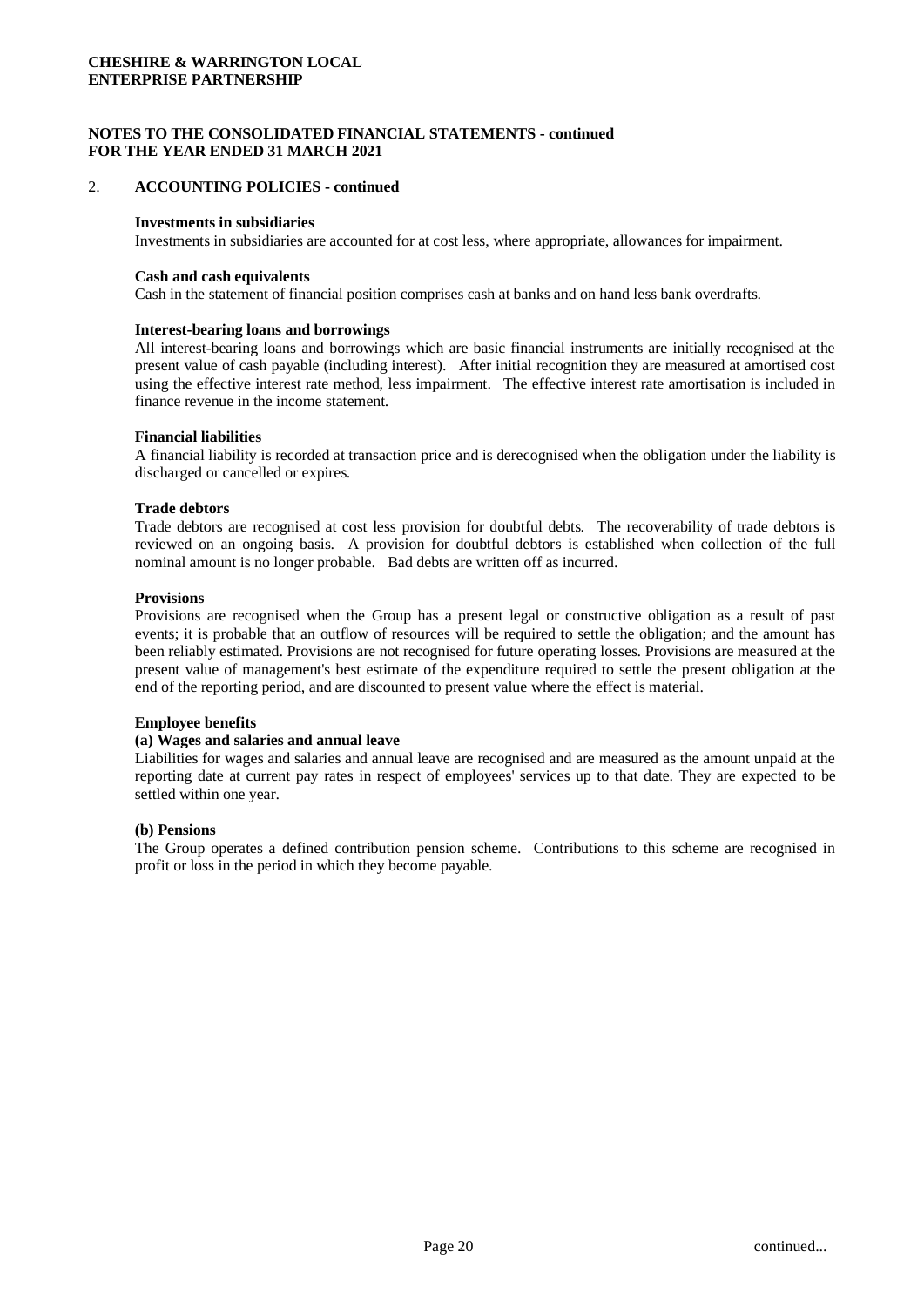#### **NOTES TO THE CONSOLIDATED FINANCIAL STATEMENTS - continued FOR THE YEAR ENDED 31 MARCH 2021**

#### 2. **ACCOUNTING POLICIES - continued**

#### **Investments in subsidiaries**

Investments in subsidiaries are accounted for at cost less, where appropriate, allowances for impairment.

#### **Cash and cash equivalents**

Cash in the statement of financial position comprises cash at banks and on hand less bank overdrafts.

#### **Interest-bearing loans and borrowings**

All interest-bearing loans and borrowings which are basic financial instruments are initially recognised at the present value of cash payable (including interest). After initial recognition they are measured at amortised cost using the effective interest rate method, less impairment. The effective interest rate amortisation is included in finance revenue in the income statement.

#### **Financial liabilities**

A financial liability is recorded at transaction price and is derecognised when the obligation under the liability is discharged or cancelled or expires.

#### **Trade debtors**

Trade debtors are recognised at cost less provision for doubtful debts. The recoverability of trade debtors is reviewed on an ongoing basis. A provision for doubtful debtors is established when collection of the full nominal amount is no longer probable. Bad debts are written off as incurred.

#### **Provisions**

Provisions are recognised when the Group has a present legal or constructive obligation as a result of past events; it is probable that an outflow of resources will be required to settle the obligation; and the amount has been reliably estimated. Provisions are not recognised for future operating losses. Provisions are measured at the present value of management's best estimate of the expenditure required to settle the present obligation at the end of the reporting period, and are discounted to present value where the effect is material.

#### **Employee benefits**

#### **(a) Wages and salaries and annual leave**

Liabilities for wages and salaries and annual leave are recognised and are measured as the amount unpaid at the reporting date at current pay rates in respect of employees' services up to that date. They are expected to be settled within one year.

#### **(b) Pensions**

The Group operates a defined contribution pension scheme. Contributions to this scheme are recognised in profit or loss in the period in which they become payable.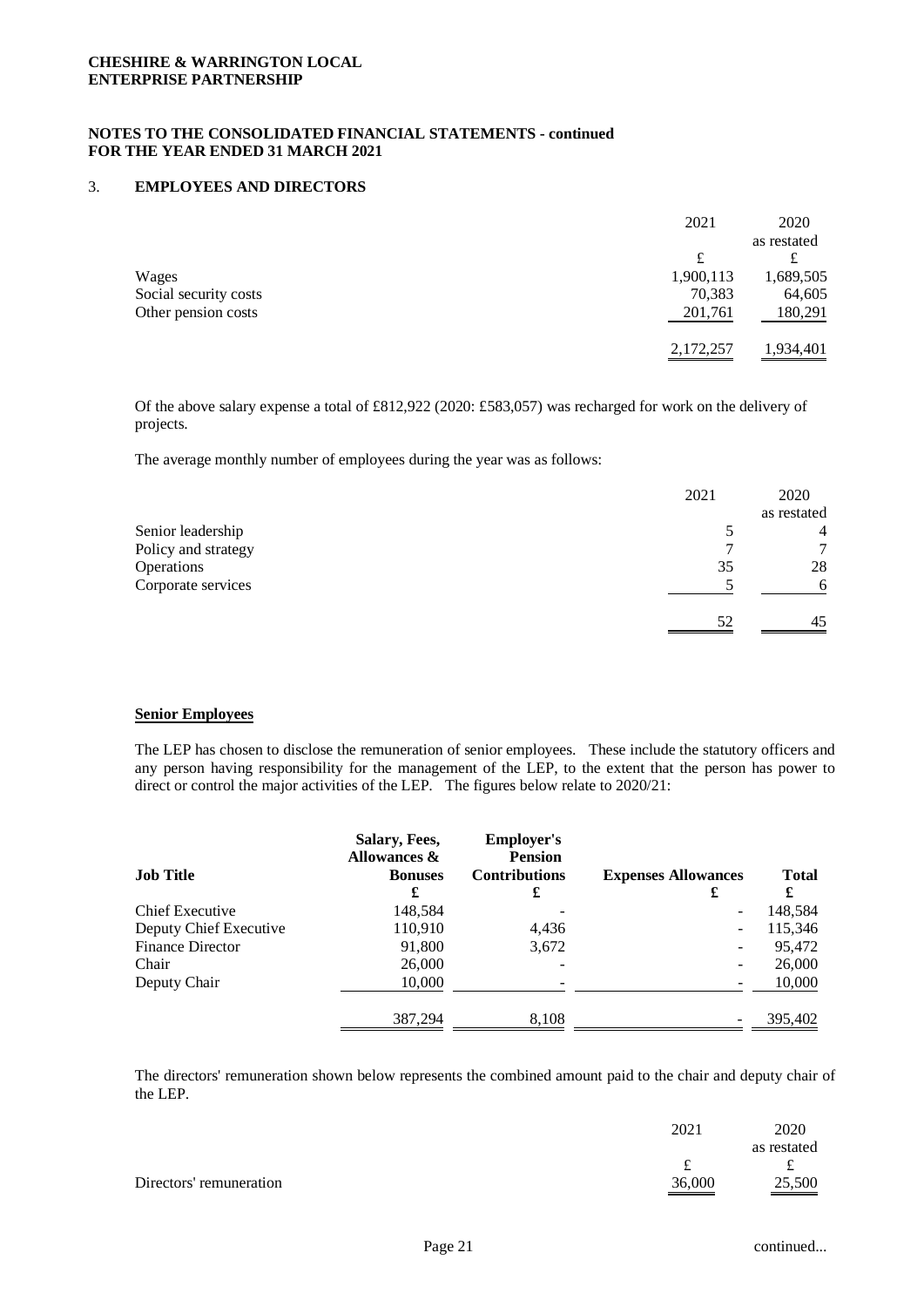#### 3. **EMPLOYEES AND DIRECTORS**

|                       | 2021      | 2020        |
|-----------------------|-----------|-------------|
|                       |           | as restated |
|                       | £         |             |
| Wages                 | 1,900,113 | 1,689,505   |
| Social security costs | 70,383    | 64,605      |
| Other pension costs   | 201,761   | 180,291     |
|                       | 2,172,257 | 1,934,401   |

Of the above salary expense a total of £812,922 (2020: £583,057) was recharged for work on the delivery of projects.

The average monthly number of employees during the year was as follows:

|                     | 2021 | 2020          |
|---------------------|------|---------------|
|                     |      | as restated   |
| Senior leadership   |      | 4             |
| Policy and strategy |      | $\mathcal{L}$ |
| Operations          | 35   | 28            |
| Corporate services  |      | 6             |
|                     | .52  | 45            |

## **Senior Employees**

The LEP has chosen to disclose the remuneration of senior employees. These include the statutory officers and any person having responsibility for the management of the LEP, to the extent that the person has power to direct or control the major activities of the LEP. The figures below relate to 2020/21:

| <b>Job Title</b>        | Salary, Fees,<br>Allowances &<br><b>Bonuses</b> | <b>Employer's</b><br><b>Pension</b><br><b>Contributions</b> | <b>Expenses Allowances</b> | <b>Total</b> |
|-------------------------|-------------------------------------------------|-------------------------------------------------------------|----------------------------|--------------|
|                         | £                                               | £                                                           | £                          | £            |
| Chief Executive         | 148,584                                         |                                                             |                            | 148,584      |
| Deputy Chief Executive  | 110,910                                         | 4,436                                                       | $\overline{\phantom{0}}$   | 115,346      |
| <b>Finance Director</b> | 91,800                                          | 3,672                                                       | -                          | 95,472       |
| Chair                   | 26,000                                          |                                                             |                            | 26,000       |
| Deputy Chair            | 10,000                                          |                                                             |                            | 10,000       |
|                         | 387,294                                         | 8,108                                                       |                            | 395,402      |

The directors' remuneration shown below represents the combined amount paid to the chair and deputy chair of the LEP.

|                         | 2021   | 2020        |
|-------------------------|--------|-------------|
|                         |        | as restated |
|                         |        |             |
| Directors' remuneration | 36,000 | 25,500      |
|                         |        |             |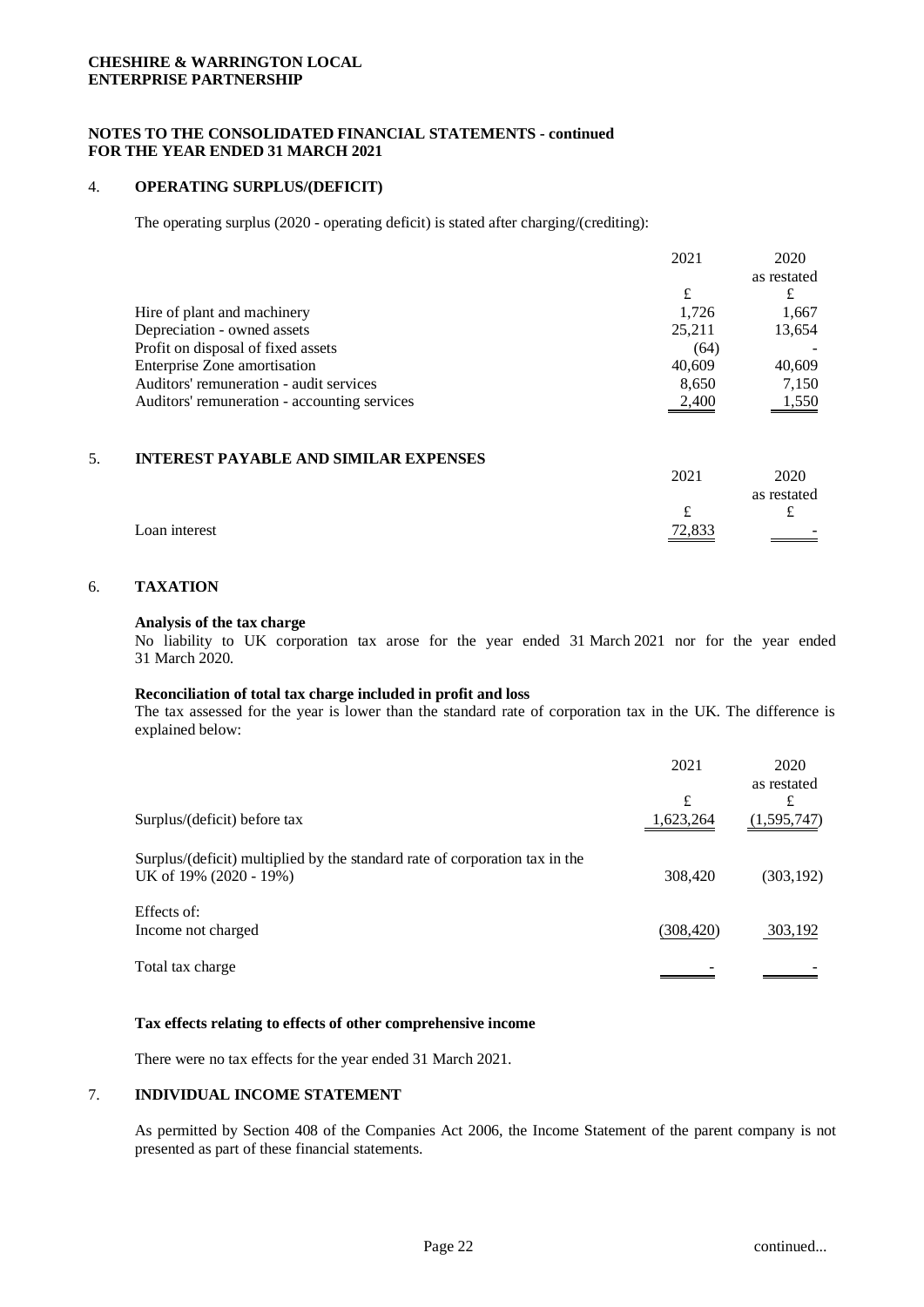## **NOTES TO THE CONSOLIDATED FINANCIAL STATEMENTS - continued FOR THE YEAR ENDED 31 MARCH 2021**

#### 4. **OPERATING SURPLUS/(DEFICIT)**

The operating surplus (2020 - operating deficit) is stated after charging/(crediting):

| as restated<br>£                                                                           | 2020  |
|--------------------------------------------------------------------------------------------|-------|
|                                                                                            |       |
|                                                                                            |       |
| Hire of plant and machinery<br>1.726                                                       | 1,667 |
| Depreciation - owned assets<br>13,654<br>25,211                                            |       |
| Profit on disposal of fixed assets<br>(64)                                                 |       |
| Enterprise Zone amortisation<br>40.609<br>40,609                                           |       |
| Auditors' remuneration - audit services<br>7,150<br>8.650                                  |       |
| Auditors' remuneration - accounting services<br>$\frac{1,550}{1,550}$<br>$\frac{2,400}{2}$ |       |

#### 5. **INTEREST PAYABLE AND SIMILAR EXPENSES**

|               | 2021   | 2020        |
|---------------|--------|-------------|
|               |        | as restated |
|               |        |             |
| Loan interest | 72,833 | $\sim$      |

#### 6. **TAXATION**

#### **Analysis of the tax charge**

No liability to UK corporation tax arose for the year ended 31 March 2021 nor for the year ended 31 March 2020.

#### **Reconciliation of total tax charge included in profit and loss**

The tax assessed for the year is lower than the standard rate of corporation tax in the UK. The difference is explained below:

|                                                                                                       | 2021           | 2020<br>as restated |
|-------------------------------------------------------------------------------------------------------|----------------|---------------------|
| Surplus/(deficit) before tax                                                                          | £<br>1,623,264 | £<br>(1,595,747)    |
| Surplus/(deficit) multiplied by the standard rate of corporation tax in the<br>UK of 19% (2020 - 19%) | 308,420        | (303, 192)          |
| Effects of:<br>Income not charged                                                                     | (308, 420)     | 303,192             |
| Total tax charge                                                                                      |                |                     |

#### **Tax effects relating to effects of other comprehensive income**

There were no tax effects for the year ended 31 March 2021.

## 7. **INDIVIDUAL INCOME STATEMENT**

As permitted by Section 408 of the Companies Act 2006, the Income Statement of the parent company is not presented as part of these financial statements.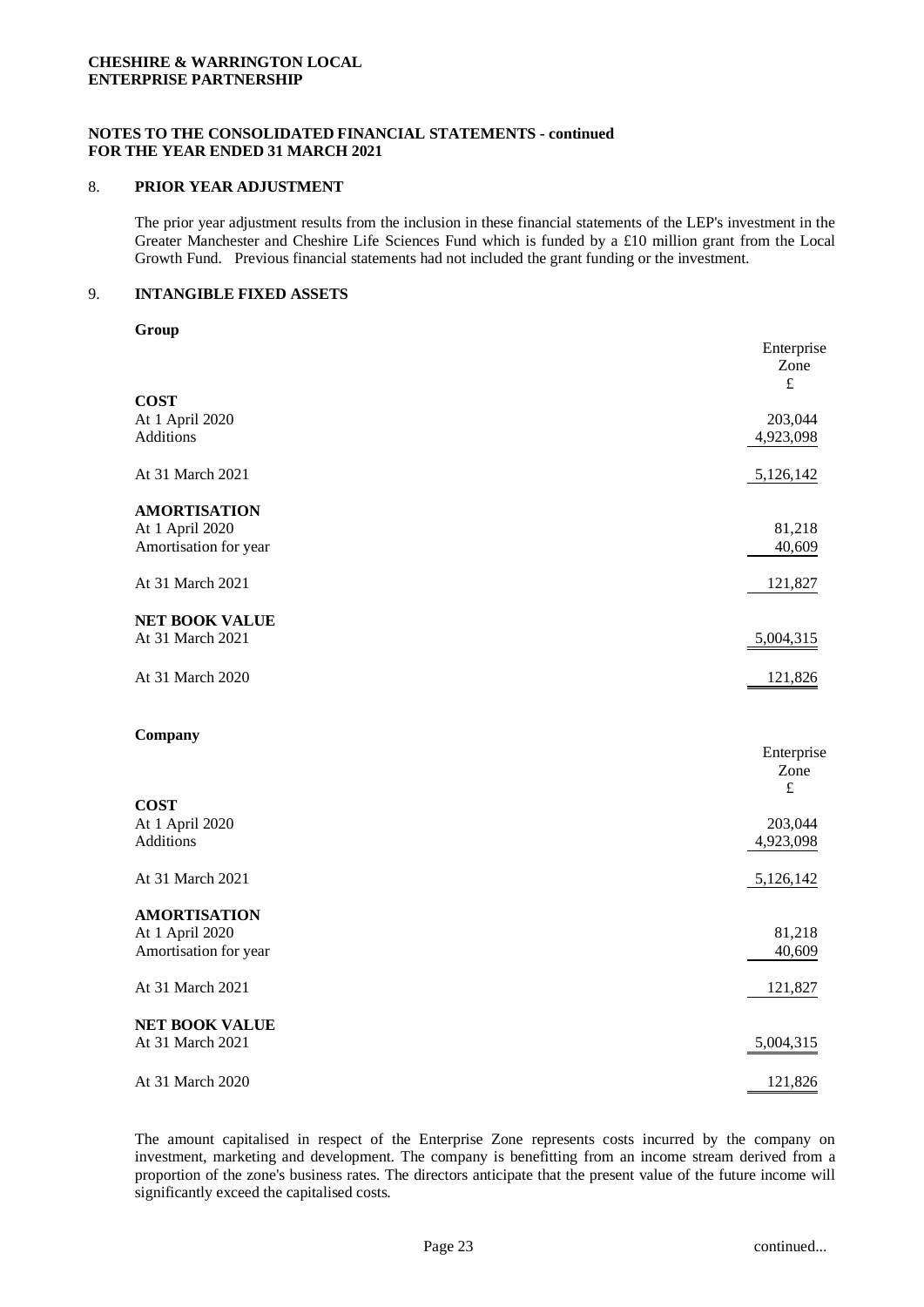#### **NOTES TO THE CONSOLIDATED FINANCIAL STATEMENTS - continued FOR THE YEAR ENDED 31 MARCH 2021**

## 8. **PRIOR YEAR ADJUSTMENT**

The prior year adjustment results from the inclusion in these financial statements of the LEP's investment in the Greater Manchester and Cheshire Life Sciences Fund which is funded by a £10 million grant from the Local Growth Fund. Previous financial statements had not included the grant funding or the investment.

#### 9. **INTANGIBLE FIXED ASSETS**

| ×<br>.,<br>۰.<br>۰,<br>M. |
|---------------------------|
|---------------------------|

|                                          | Enterprise<br>Zone<br>$\pounds$ |
|------------------------------------------|---------------------------------|
| <b>COST</b>                              |                                 |
| At 1 April 2020                          | 203,044                         |
| Additions                                | 4,923,098                       |
|                                          |                                 |
| At 31 March 2021                         | 5,126,142                       |
| <b>AMORTISATION</b>                      |                                 |
| At 1 April 2020                          | 81,218                          |
| Amortisation for year                    | 40,609                          |
|                                          |                                 |
| At 31 March 2021                         | 121,827                         |
|                                          |                                 |
| <b>NET BOOK VALUE</b>                    |                                 |
| At 31 March 2021                         | 5,004,315                       |
| At 31 March 2020                         | 121,826                         |
|                                          |                                 |
|                                          |                                 |
| Company                                  |                                 |
|                                          | Enterprise                      |
|                                          | Zone                            |
| <b>COST</b>                              | $\pounds$                       |
| At 1 April 2020                          | 203,044                         |
| <b>Additions</b>                         | 4,923,098                       |
|                                          |                                 |
| At 31 March 2021                         | 5,126,142                       |
|                                          |                                 |
| <b>AMORTISATION</b>                      |                                 |
| At 1 April 2020<br>Amortisation for year | 81,218                          |
|                                          | 40,609                          |
| At 31 March 2021                         | 121,827                         |
|                                          |                                 |
| <b>NET BOOK VALUE</b>                    |                                 |
| At 31 March 2021                         | 5,004,315                       |
|                                          |                                 |
| At 31 March 2020                         | 121,826                         |

The amount capitalised in respect of the Enterprise Zone represents costs incurred by the company on investment, marketing and development. The company is benefitting from an income stream derived from a proportion of the zone's business rates. The directors anticipate that the present value of the future income will significantly exceed the capitalised costs.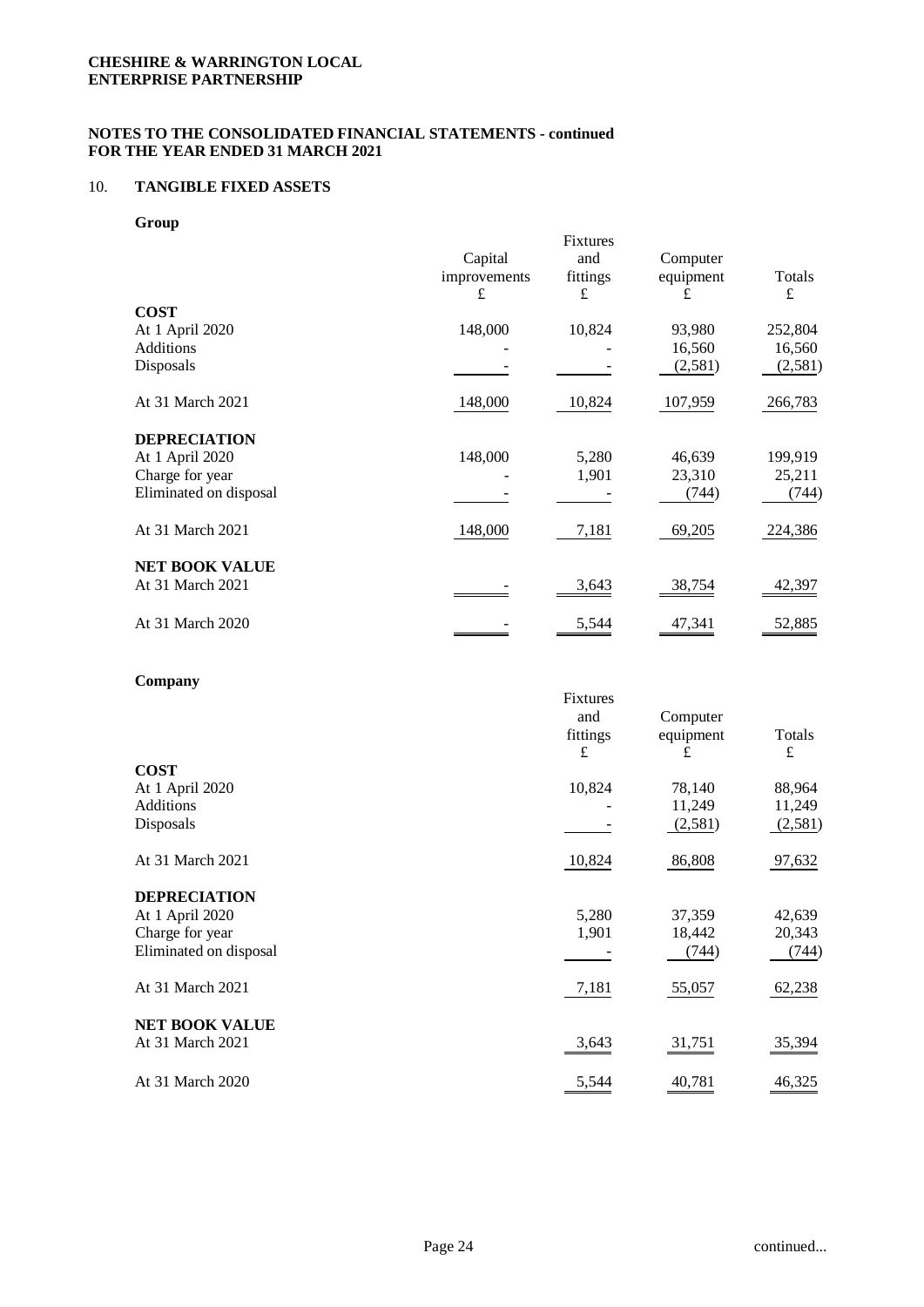## 10. **TANGIBLE FIXED ASSETS**

**Group**

| -----                  | Capital<br>improvements | Fixtures<br>and<br>fittings | Computer<br>equipment | Totals  |
|------------------------|-------------------------|-----------------------------|-----------------------|---------|
| <b>COST</b>            | £                       | £                           | £                     | £       |
| At 1 April 2020        | 148,000                 | 10,824                      | 93,980                | 252,804 |
| <b>Additions</b>       |                         |                             | 16,560                | 16,560  |
| Disposals              |                         |                             | (2,581)               | (2,581) |
| At 31 March 2021       | 148,000                 | 10,824                      | 107,959               | 266,783 |
| <b>DEPRECIATION</b>    |                         |                             |                       |         |
| At 1 April 2020        | 148,000                 | 5,280                       | 46,639                | 199,919 |
| Charge for year        |                         | 1,901                       | 23,310                | 25,211  |
| Eliminated on disposal |                         |                             | (744)                 | (744)   |
| At 31 March 2021       | 148,000                 | 7,181                       | 69,205                | 224,386 |
| <b>NET BOOK VALUE</b>  |                         |                             |                       |         |
| At 31 March 2021       |                         | 3,643                       | 38,754                | 42,397  |
| At 31 March 2020       |                         | 5,544                       | 47,341                | 52,885  |
|                        |                         |                             |                       |         |

## **Company**

|                        | Fixtures<br>and<br>fittings<br>£ | Computer<br>equipment<br>£ | Totals<br>£ |
|------------------------|----------------------------------|----------------------------|-------------|
| <b>COST</b>            |                                  |                            |             |
| At 1 April 2020        | 10,824                           | 78,140                     | 88,964      |
| Additions              |                                  | 11,249                     | 11,249      |
| Disposals              |                                  | (2,581)                    | (2,581)     |
| At 31 March 2021       | 10,824                           | 86,808                     | 97,632      |
| <b>DEPRECIATION</b>    |                                  |                            |             |
| At 1 April 2020        | 5,280                            | 37,359                     | 42,639      |
| Charge for year        | 1,901                            | 18,442                     | 20,343      |
| Eliminated on disposal |                                  | (744)                      | (744)       |
| At 31 March 2021       | 7,181                            | 55,057                     | 62,238      |
| <b>NET BOOK VALUE</b>  |                                  |                            |             |
| At 31 March 2021       | 3,643                            | 31,751                     | 35,394      |
| At 31 March 2020       | 5,544                            | 40,781                     | 46,325      |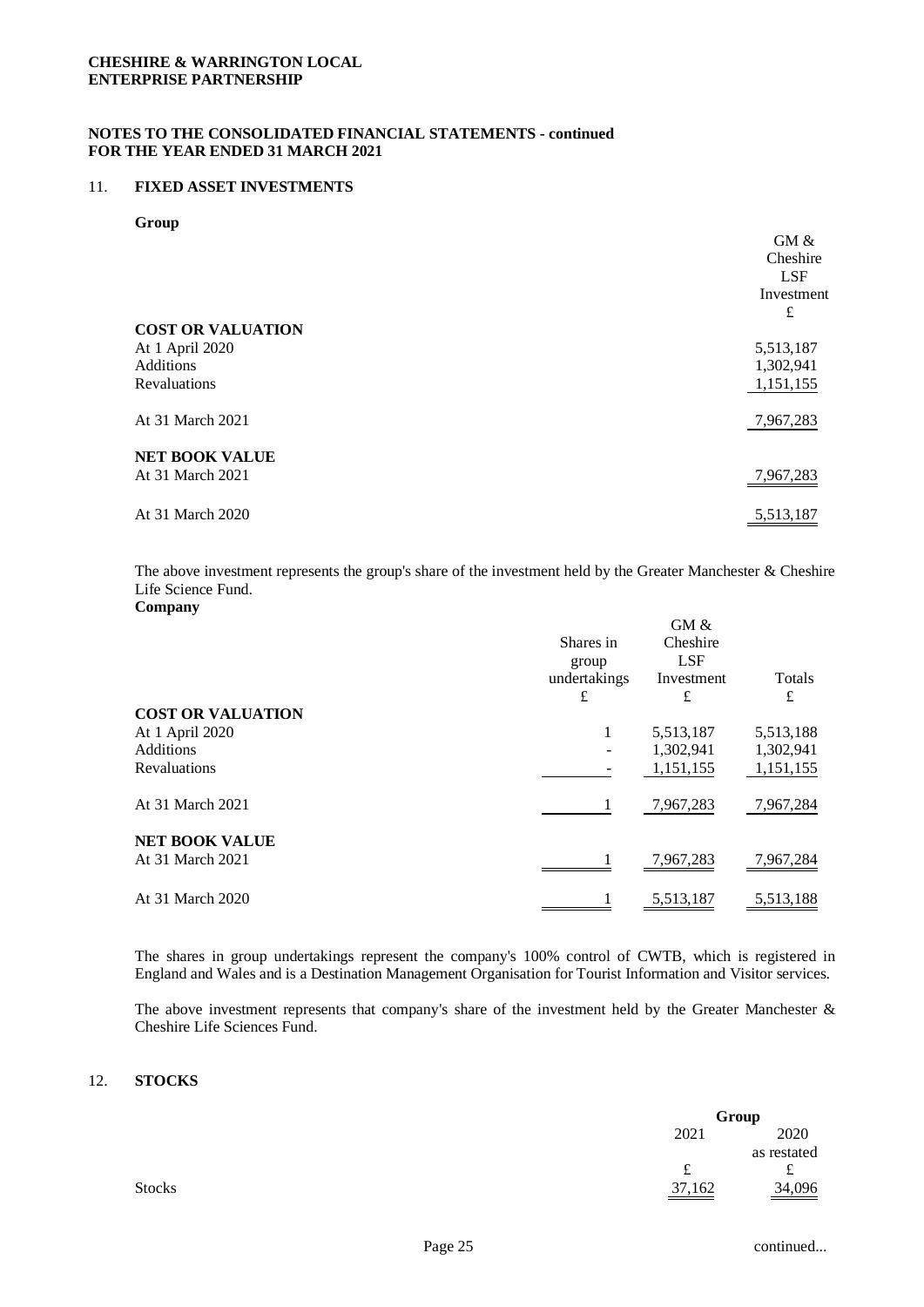## 11. **FIXED ASSET INVESTMENTS**

#### **Group**

|                          | GM &       |
|--------------------------|------------|
|                          | Cheshire   |
|                          | <b>LSF</b> |
|                          | Investment |
|                          | £          |
| <b>COST OR VALUATION</b> |            |
| At 1 April 2020          | 5,513,187  |
| Additions                | 1,302,941  |
| Revaluations             | 1,151,155  |
|                          |            |
| At 31 March 2021         | 7,967,283  |
|                          |            |
| <b>NET BOOK VALUE</b>    |            |
| At 31 March 2021         | 7,967,283  |
|                          |            |
| At 31 March 2020         | 5,513,187  |

The above investment represents the group's share of the investment held by the Greater Manchester & Cheshire Life Science Fund.

| $\mathbf{\sim}$          | Shares in                  | GM &<br>Cheshire              |             |
|--------------------------|----------------------------|-------------------------------|-------------|
|                          | group<br>undertakings<br>£ | <b>LSF</b><br>Investment<br>£ | Totals<br>£ |
| <b>COST OR VALUATION</b> |                            |                               |             |
| At 1 April 2020          | 1                          | 5,513,187                     | 5,513,188   |
| <b>Additions</b>         |                            | 1,302,941                     | 1,302,941   |
| <b>Revaluations</b>      |                            | 1,151,155                     | 1,151,155   |
| At 31 March 2021         | 1                          | 7,967,283                     | 7,967,284   |
| <b>NET BOOK VALUE</b>    |                            |                               |             |
| At 31 March 2021         |                            | 7,967,283                     | 7,967,284   |
| At 31 March 2020         |                            | 5,513,187                     | 5,513,188   |

The shares in group undertakings represent the company's 100% control of CWTB, which is registered in England and Wales and is a Destination Management Organisation for Tourist Information and Visitor services.

The above investment represents that company's share of the investment held by the Greater Manchester & Cheshire Life Sciences Fund.

#### 12. **STOCKS**

|               | Group    |             |
|---------------|----------|-------------|
|               | 2021     | 2020        |
|               |          | as restated |
|               | f<br>ىمە | ىم          |
| <b>Stocks</b> | 37,162   | 34,096      |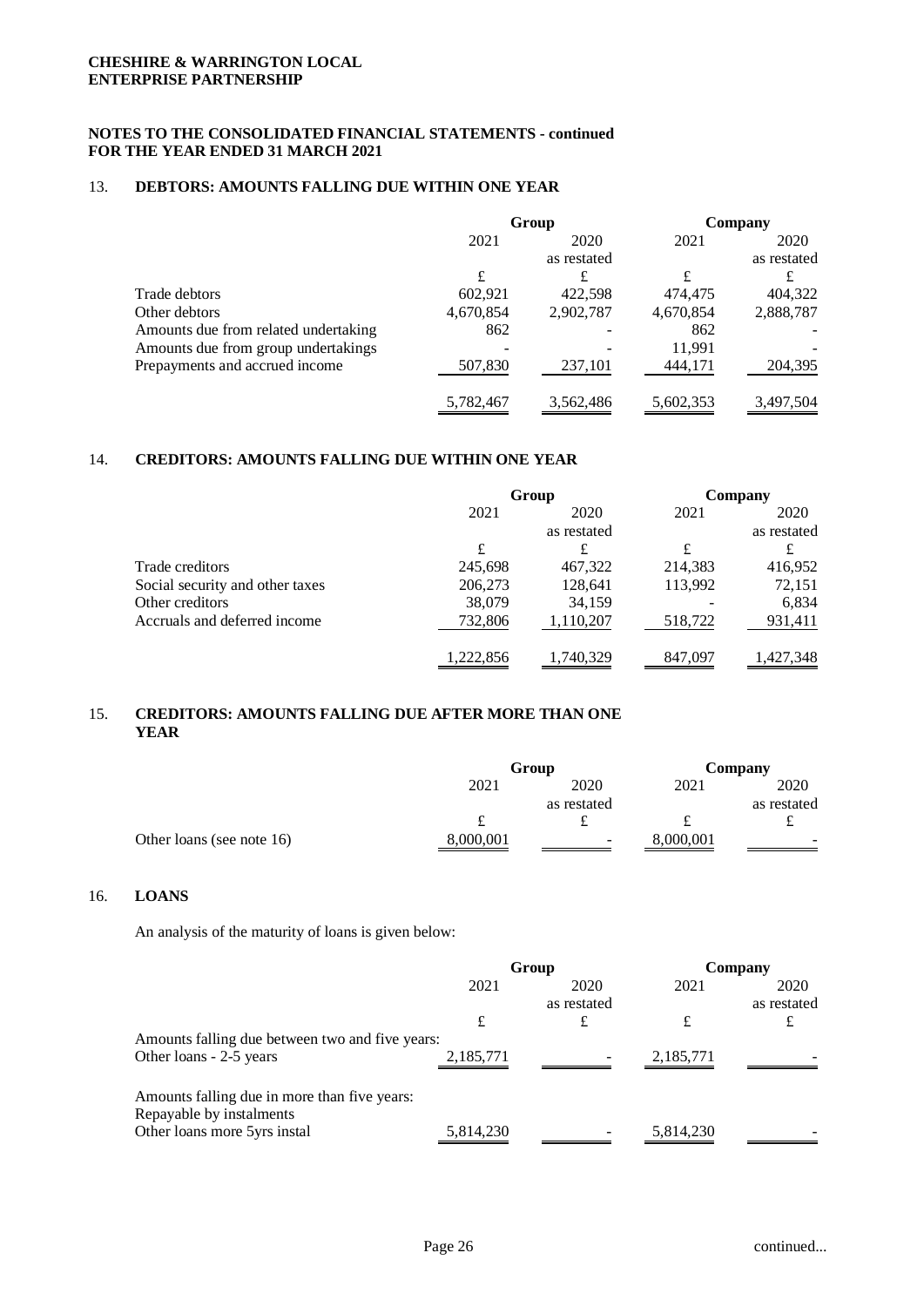# 13. **DEBTORS: AMOUNTS FALLING DUE WITHIN ONE YEAR**

|                                      | Group     |             | Company   |             |
|--------------------------------------|-----------|-------------|-----------|-------------|
|                                      | 2021      | 2020        | 2021      | 2020        |
|                                      |           | as restated |           | as restated |
|                                      | £         | £           | £         |             |
| Trade debtors                        | 602,921   | 422,598     | 474,475   | 404,322     |
| Other debtors                        | 4,670,854 | 2,902,787   | 4,670,854 | 2,888,787   |
| Amounts due from related undertaking | 862       |             | 862       |             |
| Amounts due from group undertakings  |           |             | 11,991    |             |
| Prepayments and accrued income       | 507,830   | 237,101     | 444,171   | 204,395     |
|                                      | 5,782,467 | 3,562,486   | 5,602,353 | 3,497,504   |

## 14. **CREDITORS: AMOUNTS FALLING DUE WITHIN ONE YEAR**

|                                 | Group     |             | Company |             |
|---------------------------------|-----------|-------------|---------|-------------|
|                                 | 2021      | 2020        | 2021    | 2020        |
|                                 |           | as restated |         | as restated |
|                                 | £         | £           | £       | £           |
| Trade creditors                 | 245,698   | 467,322     | 214,383 | 416,952     |
| Social security and other taxes | 206,273   | 128,641     | 113,992 | 72,151      |
| Other creditors                 | 38,079    | 34,159      |         | 6,834       |
| Accruals and deferred income    | 732,806   | 1,110,207   | 518,722 | 931,411     |
|                                 | 1,222,856 | ,740,329    | 847,097 | ,427,348    |

# 15. **CREDITORS: AMOUNTS FALLING DUE AFTER MORE THAN ONE YEAR**

|                           |           | Group       |           | Company     |
|---------------------------|-----------|-------------|-----------|-------------|
|                           | 2021      | 2020        | 2021      | 2020        |
|                           |           | as restated |           | as restated |
|                           |           |             |           |             |
| Other loans (see note 16) | 8,000,001 | -           | 8,000,001 | -           |

# 16. **LOANS**

An analysis of the maturity of loans is given below:

|                                                                          | Group     |             | Company   |             |
|--------------------------------------------------------------------------|-----------|-------------|-----------|-------------|
|                                                                          | 2021      | 2020        | 2021      | 2020        |
|                                                                          |           | as restated |           | as restated |
|                                                                          | £         | £           | £         | £           |
| Amounts falling due between two and five years:                          |           |             |           |             |
| Other loans - 2-5 years                                                  | 2,185,771 |             | 2,185,771 |             |
| Amounts falling due in more than five years:<br>Repayable by instalments |           |             |           |             |
| Other loans more 5yrs instal                                             | 5,814,230 |             | 5,814,230 |             |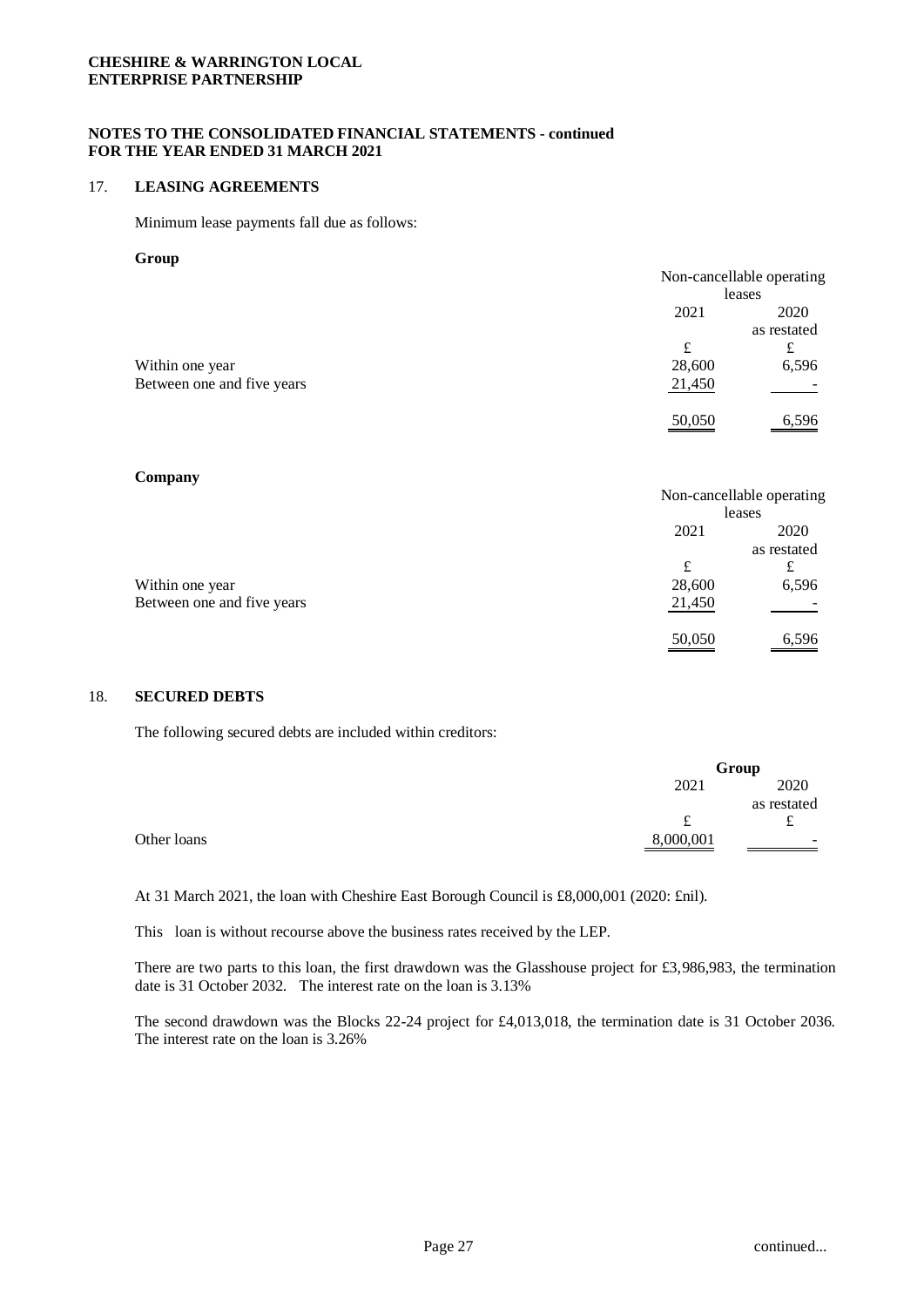## **NOTES TO THE CONSOLIDATED FINANCIAL STATEMENTS - continued FOR THE YEAR ENDED 31 MARCH 2021**

#### 17. **LEASING AGREEMENTS**

Minimum lease payments fall due as follows:

#### **Group**

|                            |        | Non-cancellable operating |
|----------------------------|--------|---------------------------|
|                            |        | leases                    |
|                            | 2021   | 2020                      |
|                            |        | as restated               |
|                            | £      | £                         |
| Within one year            | 28,600 | 6,596                     |
| Between one and five years | 21,450 |                           |
|                            | 50,050 | 6,596                     |

#### **Company**

|                            |        | Non-cancellable operating |
|----------------------------|--------|---------------------------|
|                            | leases |                           |
|                            | 2021   | 2020                      |
|                            |        | as restated               |
|                            | £      | £                         |
| Within one year            | 28,600 | 6,596                     |
| Between one and five years | 21,450 |                           |
|                            | 50,050 | 6,596                     |

#### 18. **SECURED DEBTS**

The following secured debts are included within creditors:

|             |           | Group       |
|-------------|-----------|-------------|
|             | 2021      | 2020        |
|             |           | as restated |
|             | £         | ∼           |
| Other loans | 8,000,001 | -           |

At 31 March 2021, the loan with Cheshire East Borough Council is £8,000,001 (2020: £nil).

This loan is without recourse above the business rates received by the LEP.

There are two parts to this loan, the first drawdown was the Glasshouse project for £3,986,983, the termination date is 31 October 2032. The interest rate on the loan is 3.13%

The second drawdown was the Blocks 22-24 project for £4,013,018, the termination date is 31 October 2036. The interest rate on the loan is 3.26%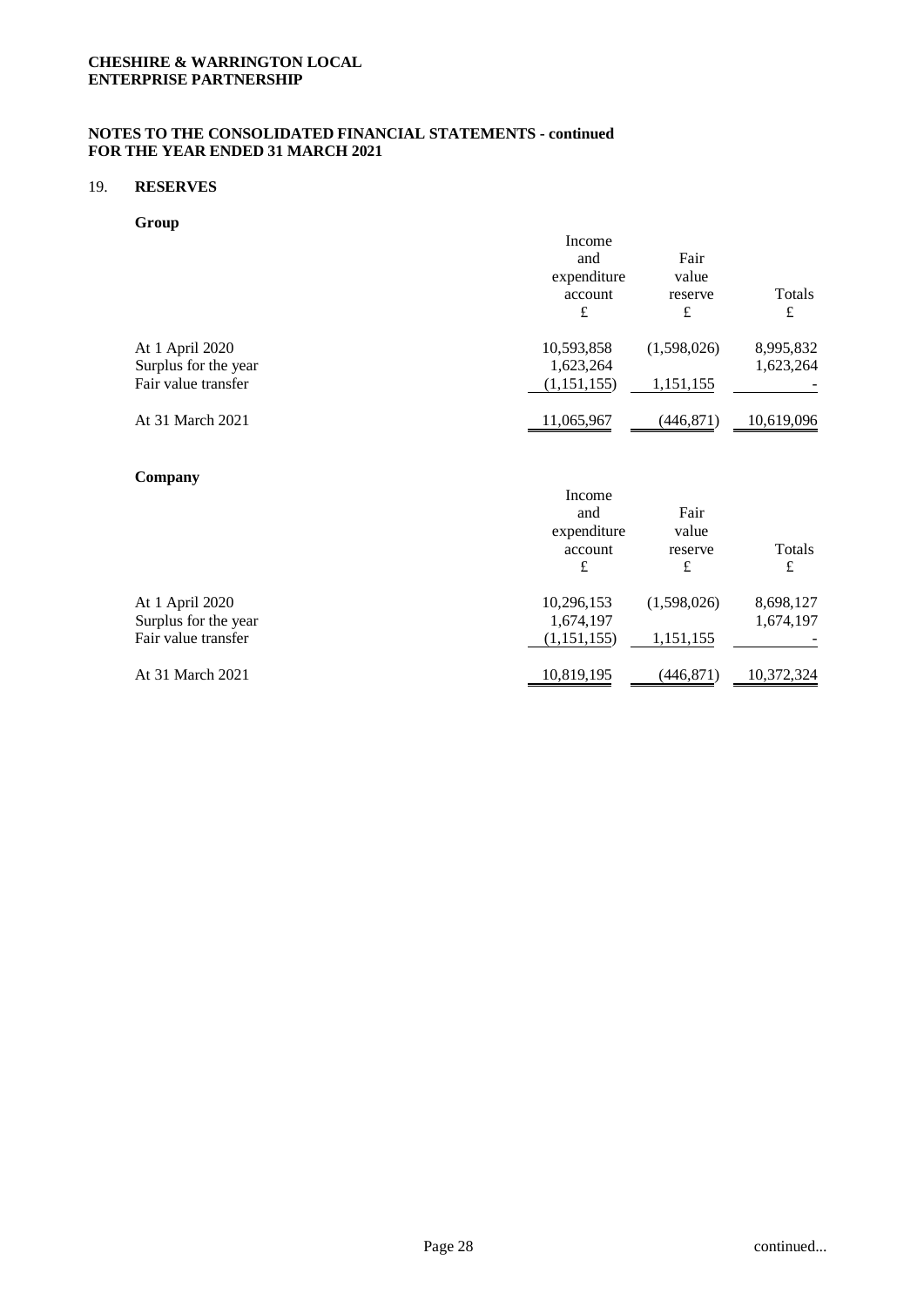## 19. **RESERVES**

**Group**

|                      | Income        |             |            |
|----------------------|---------------|-------------|------------|
|                      | and           | Fair        |            |
|                      | expenditure   | value       |            |
|                      | account       | reserve     | Totals     |
|                      | £             | £           | £          |
| At 1 April 2020      | 10,593,858    | (1,598,026) | 8,995,832  |
| Surplus for the year | 1,623,264     |             | 1,623,264  |
| Fair value transfer  | (1, 151, 155) | 1,151,155   |            |
| At 31 March 2021     | 11,065,967    | (446,871)   | 10,619,096 |

## **Company**

| Income      |             |            |
|-------------|-------------|------------|
| and         | Fair        |            |
| expenditure | value       |            |
| account     | reserve     | Totals     |
| £           | £           | £          |
| 10,296,153  | (1,598,026) | 8,698,127  |
| 1,674,197   |             | 1,674,197  |
| (1,151,155) | 1,151,155   |            |
| 10,819,195  | (446,871)   | 10,372,324 |
|             |             |            |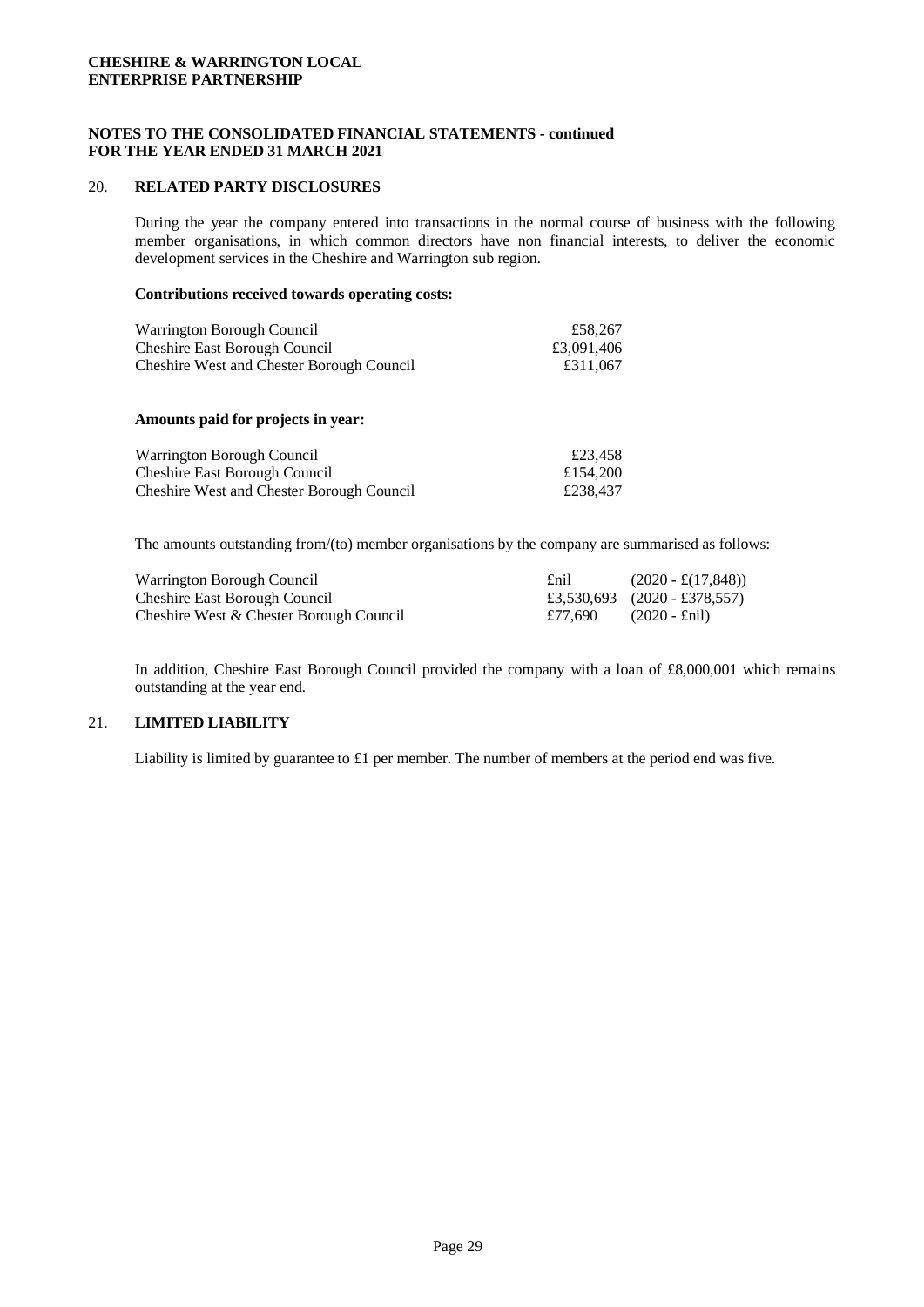## **NOTES TO THE CONSOLIDATED FINANCIAL STATEMENTS - continued FOR THE YEAR ENDED 31 MARCH 2021**

#### 20. **RELATED PARTY DISCLOSURES**

During the year the company entered into transactions in the normal course of business with the following member organisations, in which common directors have non financial interests, to deliver the economic development services in the Cheshire and Warrington sub region.

#### **Contributions received towards operating costs:**

| Warrington Borough Council                       | £58,267    |
|--------------------------------------------------|------------|
| <b>Cheshire East Borough Council</b>             | £3,091,406 |
| <b>Cheshire West and Chester Borough Council</b> | £311,067   |

#### **Amounts paid for projects in year:**

| Warrington Borough Council                       | £23.458  |
|--------------------------------------------------|----------|
| <b>Cheshire East Borough Council</b>             | £154,200 |
| <b>Cheshire West and Chester Borough Council</b> | £238,437 |

The amounts outstanding from/(to) member organisations by the company are summarised as follows:

| Warrington Borough Council              | £nil    | $(2020 - \pounds(17, 848))$  |
|-----------------------------------------|---------|------------------------------|
| <b>Cheshire East Borough Council</b>    |         | £3,530,693 (2020 - £378,557) |
| Cheshire West & Chester Borough Council | £77.690 | $(2020 - \text{Enil})$       |

In addition, Cheshire East Borough Council provided the company with a loan of £8,000,001 which remains outstanding at the year end.

#### 21. **LIMITED LIABILITY**

Liability is limited by guarantee to £1 per member. The number of members at the period end was five.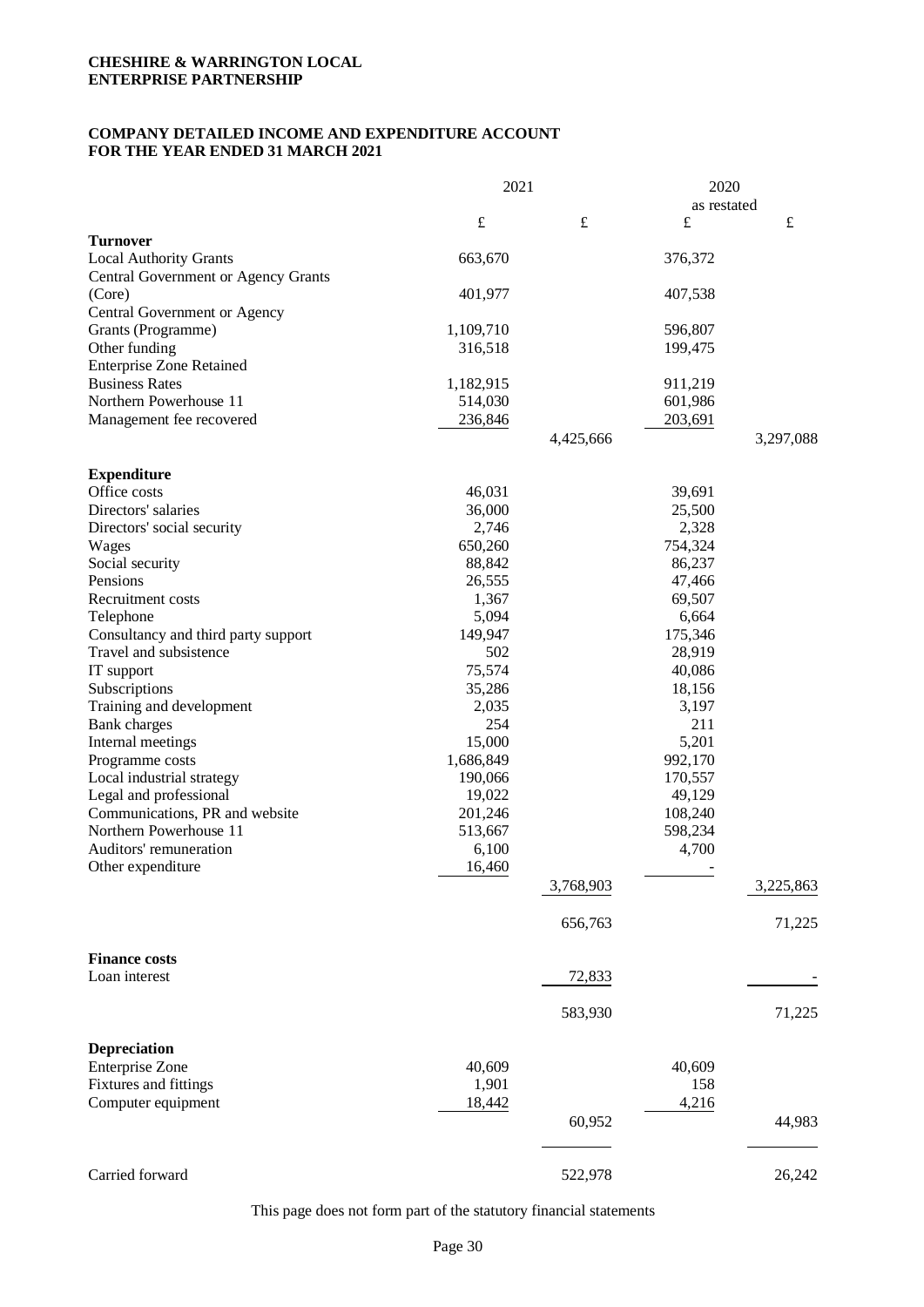## **COMPANY DETAILED INCOME AND EXPENDITURE ACCOUNT FOR THE YEAR ENDED 31 MARCH 2021**

|                                            | 2021      |           | 2020        |           |
|--------------------------------------------|-----------|-----------|-------------|-----------|
|                                            |           |           | as restated |           |
|                                            | $\pounds$ | $\pounds$ | $\pounds$   | $\pounds$ |
| <b>Turnover</b>                            |           |           |             |           |
| <b>Local Authority Grants</b>              | 663,670   |           | 376,372     |           |
| <b>Central Government or Agency Grants</b> |           |           |             |           |
| (Core)                                     | 401,977   |           | 407,538     |           |
| Central Government or Agency               |           |           |             |           |
| Grants (Programme)                         | 1,109,710 |           | 596,807     |           |
| Other funding                              | 316,518   |           | 199,475     |           |
| <b>Enterprise Zone Retained</b>            |           |           |             |           |
| <b>Business Rates</b>                      | 1,182,915 |           | 911,219     |           |
| Northern Powerhouse 11                     | 514,030   |           | 601,986     |           |
| Management fee recovered                   | 236,846   |           | 203,691     |           |
|                                            |           | 4,425,666 |             | 3,297,088 |
| <b>Expenditure</b>                         |           |           |             |           |
| Office costs                               | 46,031    |           | 39,691      |           |
| Directors' salaries                        | 36,000    |           | 25,500      |           |
| Directors' social security                 | 2,746     |           | 2,328       |           |
| Wages                                      | 650,260   |           | 754,324     |           |
| Social security                            | 88,842    |           | 86,237      |           |
| Pensions                                   | 26,555    |           | 47,466      |           |
| Recruitment costs                          | 1,367     |           | 69,507      |           |
| Telephone                                  | 5,094     |           | 6,664       |           |
| Consultancy and third party support        | 149,947   |           | 175,346     |           |
| Travel and subsistence                     | 502       |           | 28,919      |           |
| IT support                                 | 75,574    |           | 40,086      |           |
| Subscriptions                              | 35,286    |           | 18,156      |           |
| Training and development                   | 2,035     |           | 3,197       |           |
| <b>Bank</b> charges                        | 254       |           | 211         |           |
| Internal meetings                          | 15,000    |           | 5,201       |           |
| Programme costs                            | 1,686,849 |           | 992,170     |           |
| Local industrial strategy                  | 190,066   |           | 170,557     |           |
| Legal and professional                     | 19,022    |           | 49,129      |           |
| Communications, PR and website             | 201,246   |           | 108,240     |           |
| Northern Powerhouse 11                     | 513,667   |           | 598,234     |           |
| Auditors' remuneration                     | 6,100     |           | 4,700       |           |
|                                            |           |           |             |           |
| Other expenditure                          | 16,460    | 3,768,903 |             | 3,225,863 |
|                                            |           |           |             |           |
|                                            |           | 656,763   |             | 71,225    |
| <b>Finance costs</b>                       |           |           |             |           |
| Loan interest                              |           | 72,833    |             |           |
|                                            |           | 583,930   |             | 71,225    |
| <b>Depreciation</b>                        |           |           |             |           |
| <b>Enterprise Zone</b>                     | 40,609    |           | 40,609      |           |
|                                            |           |           | 158         |           |
| Fixtures and fittings                      | 1,901     |           |             |           |
| Computer equipment                         | 18,442    |           | 4,216       |           |
|                                            |           | 60,952    |             | 44,983    |
|                                            |           |           |             |           |
| Carried forward                            |           | 522,978   |             | 26,242    |

This page does not form part of the statutory financial statements